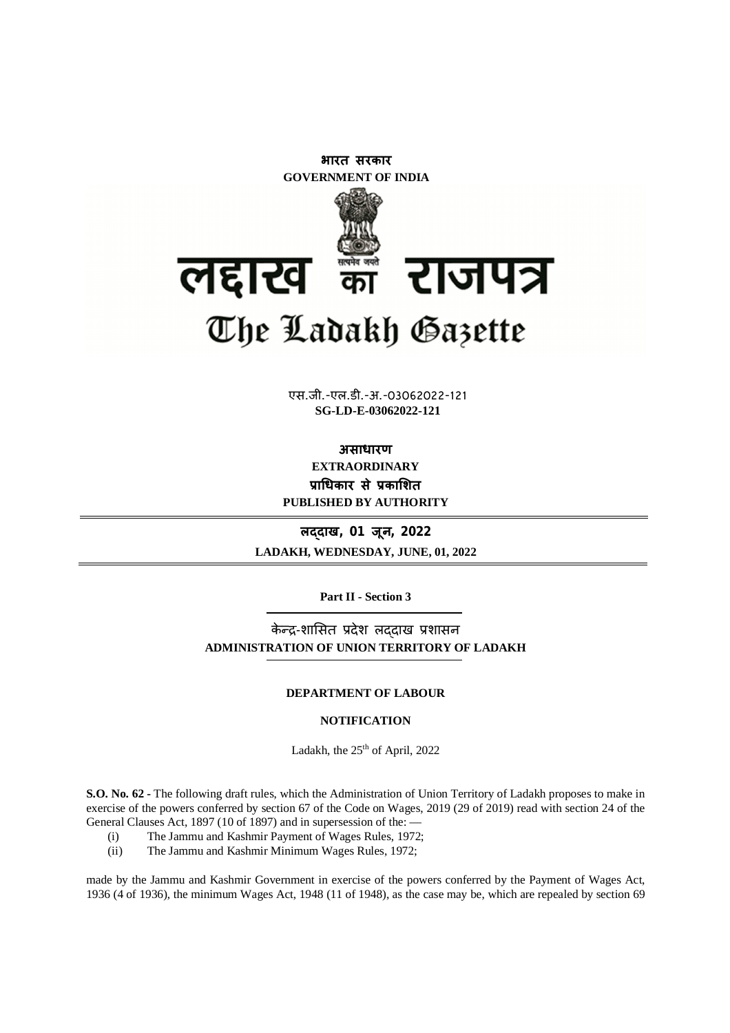

**xxxGIDHxxx SG-LD-E-03062022-121**एस.जी.-एल.डी.-अ.-03062022-121

**असाधारण EXTRAORDINARY Ĥाͬधकार सेĤकाͧशत PUBLISHED BY AUTHORITY**

**लɮदाख, 01 जून, 2022 LADAKH, WEDNESDAY, JUNE, 01, 2022**

**Part II - Section 3**

केन्द्र-शासित प्रदेश लददाख प्रशासन **ADMINISTRATION OF UNION TERRITORY OF LADAKH**

#### **DEPARTMENT OF LABOUR**

### **NOTIFICATION**

Ladakh, the 25<sup>th</sup> of April, 2022

**S.O. No. 62 -** The following draft rules, which the Administration of Union Territory of Ladakh proposes to make in exercise of the powers conferred by section 67 of the Code on Wages, 2019 (29 of 2019) read with section 24 of the General Clauses Act, 1897 (10 of 1897) and in supersession of the: —

- (i) The Jammu and Kashmir Payment of Wages Rules, 1972;
- (ii) The Jammu and Kashmir Minimum Wages Rules, 1972;

made by the Jammu and Kashmir Government in exercise of the powers conferred by the Payment of Wages Act, 1936 (4 of 1936), the minimum Wages Act, 1948 (11 of 1948), as the case may be, which are repealed by section 69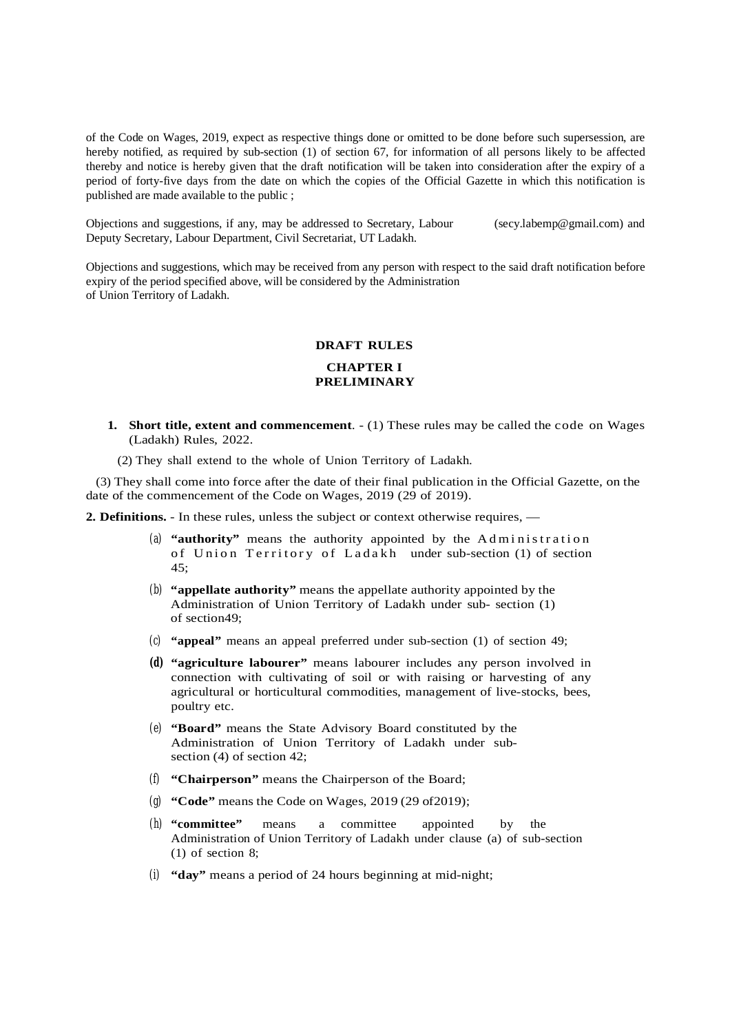of the Code on Wages, 2019, expect as respective things done or omitted to be done before such supersession, are hereby notified, as required by sub-section (1) of section 67, for information of all persons likely to be affected thereby and notice is hereby given that the draft notification will be taken into consideration after the expiry of a period of forty-five days from the date on which the copies of the Official Gazette in which this notification is published are made available to the public ;

Objections and suggestions, if any, may be addressed to Secretary, Labour (secy.labemp@gmail.com) and Deputy Secretary, Labour Department, Civil Secretariat, UT Ladakh.

Objections and suggestions, which may be received from any person with respect to the said draft notification before expiry of the period specified above, will be considered by the Administration of Union Territory of Ladakh.

### **DRAFT RULES**

### **CHAPTER I PRELIMINARY**

- **1. Short title, extent and commencement**. (1) These rules may be called the code on Wages (Ladakh) Rules, 2022.
	- (2) They shall extend to the whole of Union Territory of Ladakh.

 (3) They shall come into force after the date of their final publication in the Official Gazette, on the date of the commencement of the Code on Wages, 2019 (29 of 2019).

**2. Definitions.** - In these rules, unless the subject or context otherwise requires, —

- (a) **"authority"** means the authority appointed by the Administration of Union Territory of Ladakh under sub-section (1) of section 45;
- (b) **"appellate authority"** means the appellate authority appointed by the Administration of Union Territory of Ladakh under sub- section (1) of section49;
- (c) **"appeal"** means an appeal preferred under sub-section (1) of section 49;
- **(d) "agriculture labourer"** means labourer includes any person involved in connection with cultivating of soil or with raising or harvesting of any agricultural or horticultural commodities, management of live-stocks, bees, poultry etc.
- (e) **"Board"** means the State Advisory Board constituted by the Administration of Union Territory of Ladakh under subsection (4) of section 42;
- (f) **"Chairperson"** means the Chairperson of the Board;
- (g) **"Code"** means the Code on Wages, 2019 (29 of2019);
- (h) **"committee"** means a committee appointed by the Administration of Union Territory of Ladakh under clause (a) of sub-section (1) of section 8;
- (i) **"day"** means a period of 24 hours beginning at mid-night;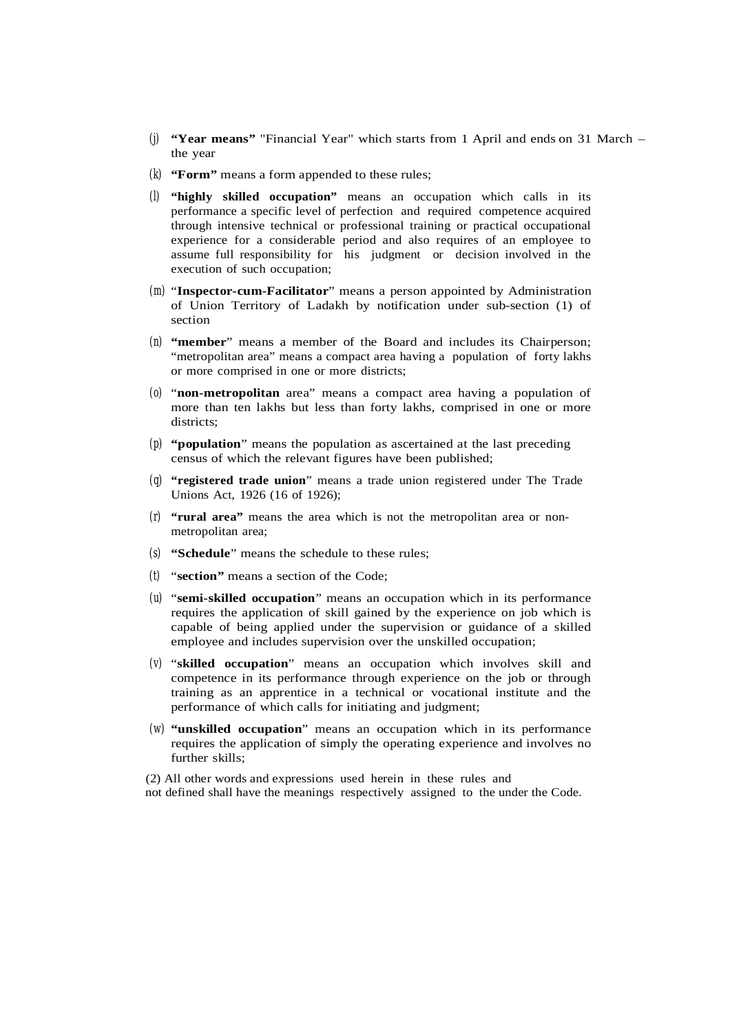- (j) **"Year means"** "Financial Year" which starts from 1 April and ends on 31 March the year
- (k) **"Form"** means a form appended to these rules;
- (l) **"highly skilled occupation"** means an occupation which calls in its performance a specific level of perfection and required competence acquired through intensive technical or professional training or practical occupational experience for a considerable period and also requires of an employee to assume full responsibility for his judgment or decision involved in the execution of such occupation;
- (m) "**Inspector-cum-Facilitator**" means a person appointed by Administration of Union Territory of Ladakh by notification under sub-section (1) of section
- (n) **"member**" means a member of the Board and includes its Chairperson; "metropolitan area" means a compact area having a population of forty lakhs or more comprised in one or more districts;
- (o) "**non-metropolitan** area" means a compact area having a population of more than ten lakhs but less than forty lakhs, comprised in one or more districts;
- (p) **"population**" means the population as ascertained at the last preceding census of which the relevant figures have been published;
- (q) **"registered trade union**" means a trade union registered under The Trade Unions Act, 1926 (16 of 1926);
- (r) **"rural area"** means the area which is not the metropolitan area or nonmetropolitan area;
- (s) **"Schedule**" means the schedule to these rules;
- (t) "**section"** means a section of the Code;
- (u) "**semi-skilled occupation**" means an occupation which in its performance requires the application of skill gained by the experience on job which is capable of being applied under the supervision or guidance of a skilled employee and includes supervision over the unskilled occupation;
- (v) "**skilled occupation**" means an occupation which involves skill and competence in its performance through experience on the job or through training as an apprentice in a technical or vocational institute and the performance of which calls for initiating and judgment;
- (w) **"unskilled occupation**" means an occupation which in its performance requires the application of simply the operating experience and involves no further skills;
- (2) All other words and expressions used herein in these rules and
- not defined shall have the meanings respectively assigned to the under the Code.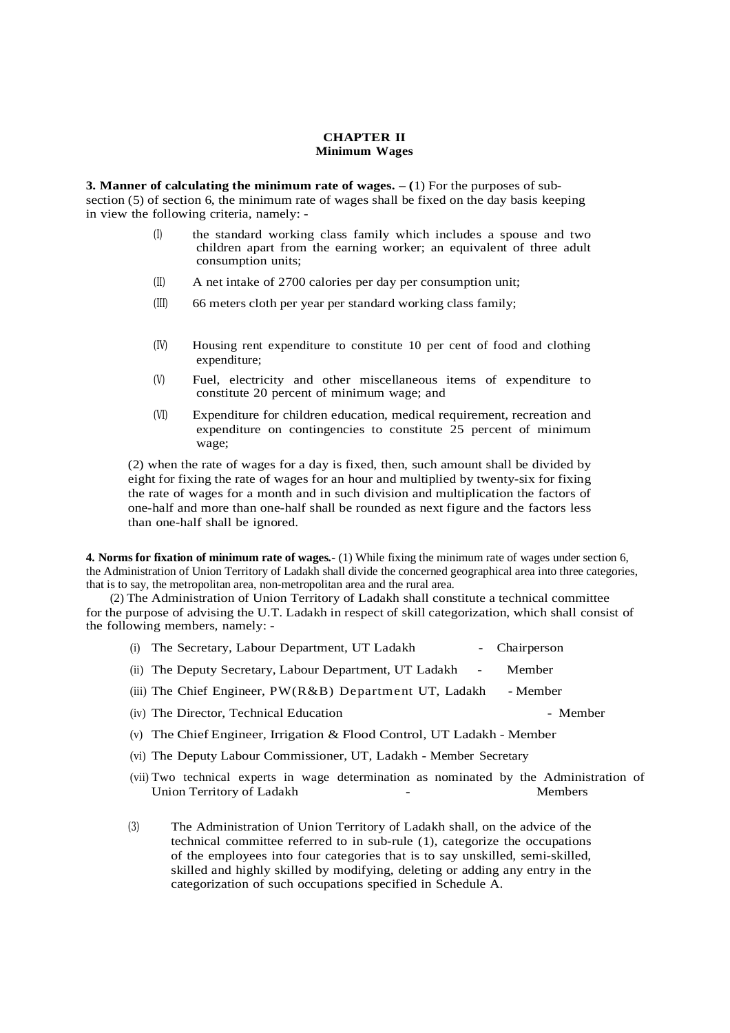### **CHAPTER II Minimum Wages**

**3. Manner of calculating the minimum rate of wages. – (**1) For the purposes of subsection (5) of section 6, the minimum rate of wages shall be fixed on the day basis keeping in view the following criteria, namely: -

- (I) the standard working class family which includes a spouse and two children apart from the earning worker; an equivalent of three adult consumption units;
- (II) A net intake of 2700 calories per day per consumption unit;
- (III) 66 meters cloth per year per standard working class family;
- (IV) Housing rent expenditure to constitute 10 per cent of food and clothing expenditure;
- (V) Fuel, electricity and other miscellaneous items of expenditure to constitute 20 percent of minimum wage; and
- (VI) Expenditure for children education, medical requirement, recreation and expenditure on contingencies to constitute 25 percent of minimum wage;

(2) when the rate of wages for a day is fixed, then, such amount shall be divided by eight for fixing the rate of wages for an hour and multiplied by twenty-six for fixing the rate of wages for a month and in such division and multiplication the factors of one-half and more than one-half shall be rounded as next figure and the factors less than one-half shall be ignored.

**4. Norms for fixation of minimum rate of wages.-** (1) While fixing the minimum rate of wages under section 6, the Administration of Union Territory of Ladakh shall divide the concerned geographical area into three categories, that is to say, the metropolitan area, non-metropolitan area and the rural area.

 (2) The Administration of Union Territory of Ladakh shall constitute a technical committee for the purpose of advising the U.T. Ladakh in respect of skill categorization, which shall consist of the following members, namely: -

- (i) The Secretary, Labour Department, UT Ladakh Chairperson
- (ii) The Deputy Secretary, Labour Department, UT Ladakh Member
- (iii) The Chief Engineer,  $PW(R\&B)$  Department UT, Ladakh Member
- (iv) The Director, Technical Education Member
- (v) The Chief Engineer, Irrigation & Flood Control, UT Ladakh Member
- (vi) The Deputy Labour Commissioner, UT, Ladakh Member Secretary
- (vii) Two technical experts in wage determination as nominated by the Administration of Union Territory of Ladakh Theory of Ladakh Theory School Charles Members
- (3) The Administration of Union Territory of Ladakh shall, on the advice of the technical committee referred to in sub-rule (1), categorize the occupations of the employees into four categories that is to say unskilled, semi-skilled, skilled and highly skilled by modifying, deleting or adding any entry in the categorization of such occupations specified in Schedule A.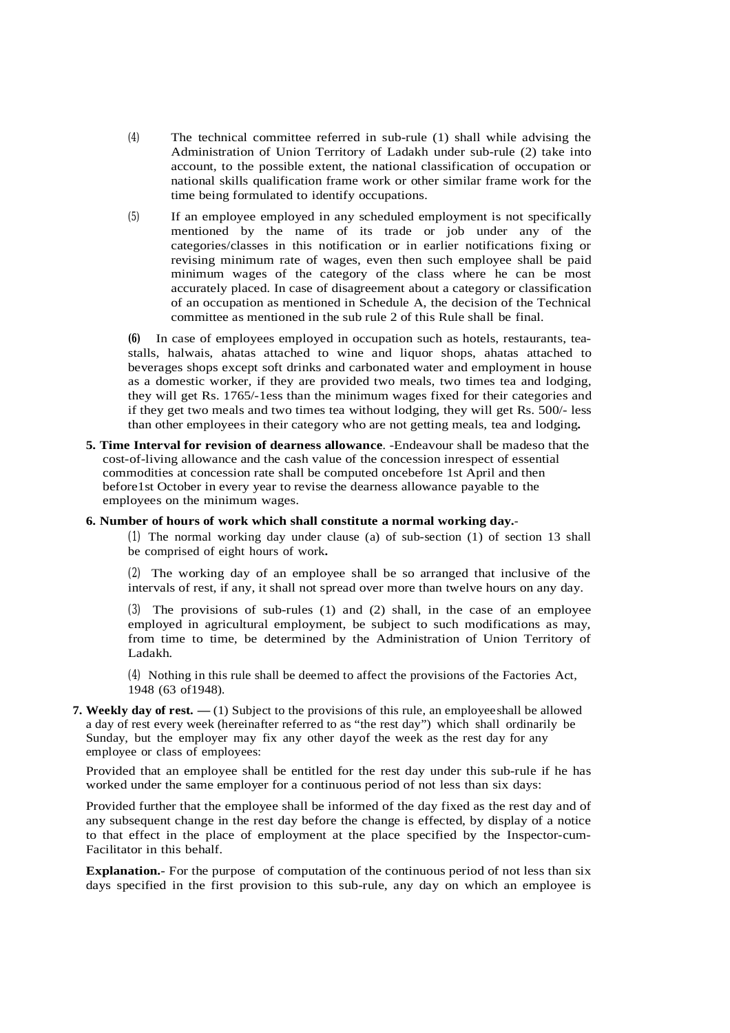- (4) The technical committee referred in sub-rule (1) shall while advising the Administration of Union Territory of Ladakh under sub-rule (2) take into account, to the possible extent, the national classification of occupation or national skills qualification frame work or other similar frame work for the time being formulated to identify occupations.
- (5) If an employee employed in any scheduled employment is not specifically mentioned by the name of its trade or job under any of the categories/classes in this notification or in earlier notifications fixing or revising minimum rate of wages, even then such employee shall be paid minimum wages of the category of the class where he can be most accurately placed. In case of disagreement about a category or classification of an occupation as mentioned in Schedule A, the decision of the Technical committee as mentioned in the sub rule 2 of this Rule shall be final.

**(6)** In case of employees employed in occupation such as hotels, restaurants, teastalls, halwais, ahatas attached to wine and liquor shops, ahatas attached to beverages shops except soft drinks and carbonated water and employment in house as a domestic worker, if they are provided two meals, two times tea and lodging, they will get Rs. 1765/-1ess than the minimum wages fixed for their categories and if they get two meals and two times tea without lodging, they will get Rs. 500/- less than other employees in their category who are not getting meals, tea and lodging**.**

**5. Time Interval for revision of dearness allowance**. -Endeavour shall be madeso that the cost-of-living allowance and the cash value of the concession inrespect of essential commodities at concession rate shall be computed oncebefore 1st April and then before1st October in every year to revise the dearness allowance payable to the employees on the minimum wages.

### **6. Number of hours of work which shall constitute a normal working day.**-

(1) The normal working day under clause (a) of sub-section (1) of section 13 shall be comprised of eight hours of work**.**

(2) The working day of an employee shall be so arranged that inclusive of the intervals of rest, if any, it shall not spread over more than twelve hours on any day.

(3) The provisions of sub-rules (1) and (2) shall, in the case of an employee employed in agricultural employment, be subject to such modifications as may, from time to time, be determined by the Administration of Union Territory of Ladakh.

(4) Nothing in this rule shall be deemed to affect the provisions of the Factories Act, 1948 (63 of1948).

### **7. Weekly day of rest. —** (1) Subject to the provisions of this rule, an employee shall be allowed a day of rest every week (hereinafter referred to as "the rest day") which shall ordinarily be Sunday, but the employer may fix any other dayof the week as the rest day for any employee or class of employees:

Provided that an employee shall be entitled for the rest day under this sub-rule if he has worked under the same employer for a continuous period of not less than six days:

Provided further that the employee shall be informed of the day fixed as the rest day and of any subsequent change in the rest day before the change is effected, by display of a notice to that effect in the place of employment at the place specified by the Inspector-cum-Facilitator in this behalf.

**Explanation.**- For the purpose of computation of the continuous period of not less than six days specified in the first provision to this sub-rule, any day on which an employee is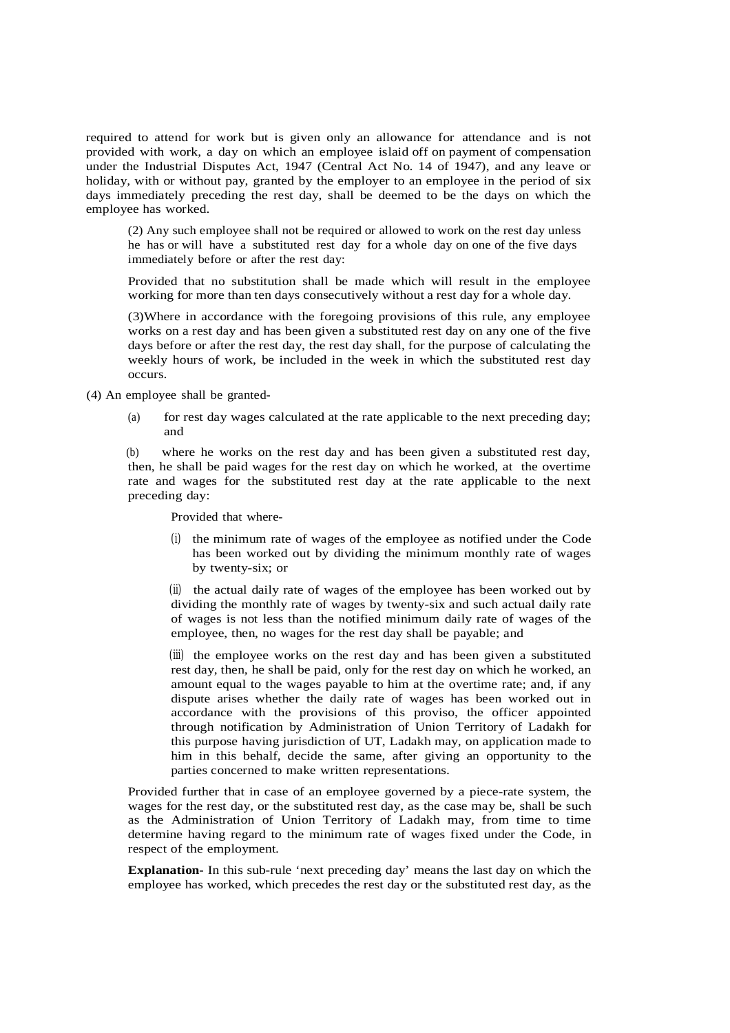required to attend for work but is given only an allowance for attendance and is not provided with work, a day on which an employee islaid off on payment of compensation under the Industrial Disputes Act, 1947 (Central Act No. 14 of 1947), and any leave or holiday, with or without pay, granted by the employer to an employee in the period of six days immediately preceding the rest day, shall be deemed to be the days on which the employee has worked.

(2) Any such employee shall not be required or allowed to work on the rest day unless he has or will have a substituted rest day for a whole day on one of the five days immediately before or after the rest day:

Provided that no substitution shall be made which will result in the employee working for more than ten days consecutively without a rest day for a whole day.

(3)Where in accordance with the foregoing provisions of this rule, any employee works on a rest day and has been given a substituted rest day on any one of the five days before or after the rest day, the rest day shall, for the purpose of calculating the weekly hours of work, be included in the week in which the substituted rest day occurs.

(4) An employee shall be granted-

(a) for rest day wages calculated at the rate applicable to the next preceding day; and

(b) where he works on the rest day and has been given a substituted rest day, then, he shall be paid wages for the rest day on which he worked, at the overtime rate and wages for the substituted rest day at the rate applicable to the next preceding day:

Provided that where-

(i) the minimum rate of wages of the employee as notified under the Code has been worked out by dividing the minimum monthly rate of wages by twenty-six; or

(ii) the actual daily rate of wages of the employee has been worked out by dividing the monthly rate of wages by twenty-six and such actual daily rate of wages is not less than the notified minimum daily rate of wages of the employee, then, no wages for the rest day shall be payable; and

(iii) the employee works on the rest day and has been given a substituted rest day, then, he shall be paid, only for the rest day on which he worked, an amount equal to the wages payable to him at the overtime rate; and, if any dispute arises whether the daily rate of wages has been worked out in accordance with the provisions of this proviso, the officer appointed through notification by Administration of Union Territory of Ladakh for this purpose having jurisdiction of UT, Ladakh may, on application made to him in this behalf, decide the same, after giving an opportunity to the parties concerned to make written representations.

Provided further that in case of an employee governed by a piece-rate system, the wages for the rest day, or the substituted rest day, as the case may be, shall be such as the Administration of Union Territory of Ladakh may, from time to time determine having regard to the minimum rate of wages fixed under the Code, in respect of the employment.

**Explanation-** In this sub-rule 'next preceding day' means the last day on which the employee has worked, which precedes the rest day or the substituted rest day, as the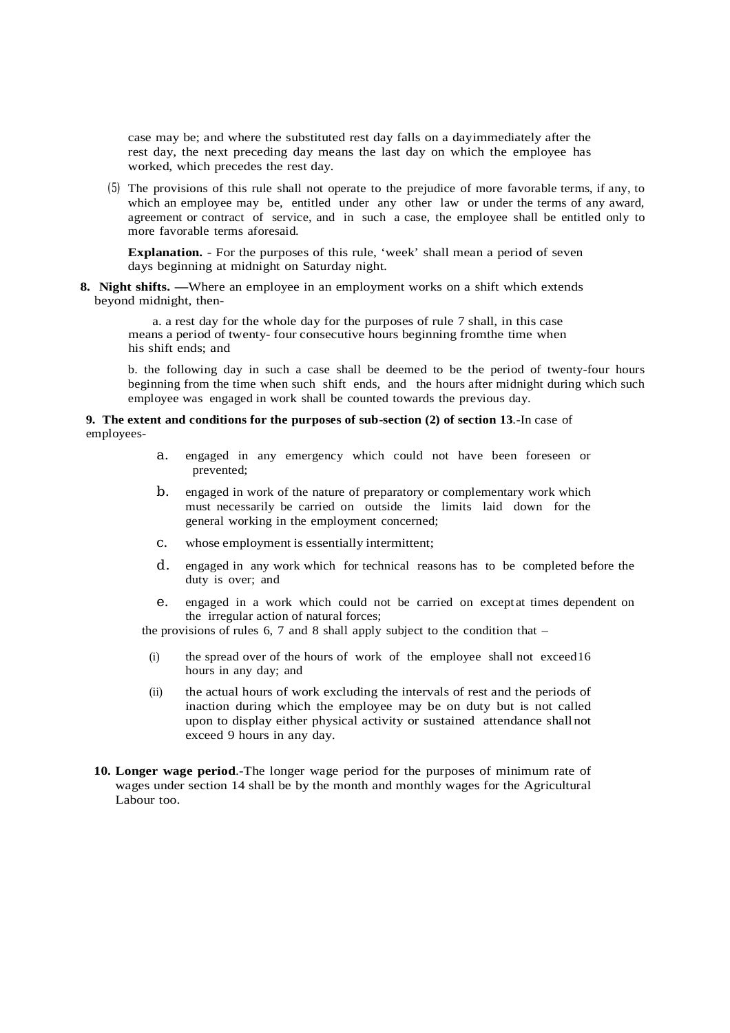case may be; and where the substituted rest day falls on a dayimmediately after the rest day, the next preceding day means the last day on which the employee has worked, which precedes the rest day.

(5) The provisions of this rule shall not operate to the prejudice of more favorable terms, if any, to which an employee may be, entitled under any other law or under the terms of any award, agreement or contract of service, and in such a case, the employee shall be entitled only to more favorable terms aforesaid.

**Explanation.** - For the purposes of this rule, 'week' shall mean a period of seven days beginning at midnight on Saturday night.

**8. Night shifts.** —Where an employee in an employment works on a shift which extends beyond midnight, then-

a. a rest day for the whole day for the purposes of rule 7 shall, in this case means a period of twenty- four consecutive hours beginning fromthe time when his shift ends; and

b. the following day in such a case shall be deemed to be the period of twenty-four hours beginning from the time when such shift ends, and the hours after midnight during which such employee was engaged in work shall be counted towards the previous day.

#### **9. The extent and conditions for the purposes of sub-section (2) of section 13**.-In case of employees-

- a. engaged in any emergency which could not have been foreseen or prevented;
- b. engaged in work of the nature of preparatory or complementary work which must necessarily be carried on outside the limits laid down for the general working in the employment concerned;
- c. whose employment is essentially intermittent;
- d. engaged in any work which for technical reasons has to be completed before the duty is over; and
- e. engaged in a work which could not be carried on except at times dependent on the irregular action of natural forces;

the provisions of rules  $6, 7$  and  $8$  shall apply subject to the condition that –

- (i) the spread over of the hours of work of the employee shall not exceed16 hours in any day; and
- (ii) the actual hours of work excluding the intervals of rest and the periods of inaction during which the employee may be on duty but is not called upon to display either physical activity or sustained attendance shallnot exceed 9 hours in any day.
- **10. Longer wage period**.-The longer wage period for the purposes of minimum rate of wages under section 14 shall be by the month and monthly wages for the Agricultural Labour too.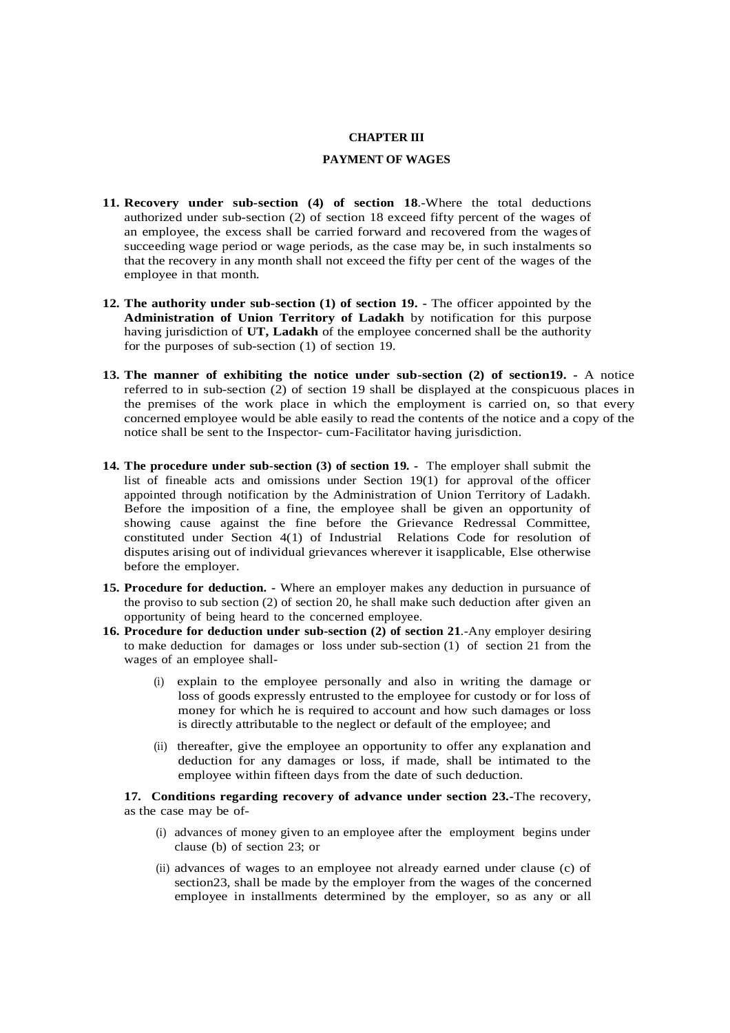#### **CHAPTER III**

### **PAYMENT OF WAGES**

- **11. Recovery under sub-section (4) of section 18**.-Where the total deductions authorized under sub-section (2) of section 18 exceed fifty percent of the wages of an employee, the excess shall be carried forward and recovered from the wages of succeeding wage period or wage periods, as the case may be, in such instalments so that the recovery in any month shall not exceed the fifty per cent of the wages of the employee in that month.
- **12. The authority under sub-section (1) of section 19. -** The officer appointed by the **Administration of Union Territory of Ladakh** by notification for this purpose having jurisdiction of **UT, Ladakh** of the employee concerned shall be the authority for the purposes of sub-section (1) of section 19.
- **13. The manner of exhibiting the notice under sub-section (2) of section19. -** A notice referred to in sub-section (2) of section 19 shall be displayed at the conspicuous places in the premises of the work place in which the employment is carried on, so that every concerned employee would be able easily to read the contents of the notice and a copy of the notice shall be sent to the Inspector- cum-Facilitator having jurisdiction.
- **14. The procedure under sub-section (3) of section 19.** The employer shall submit the list of fineable acts and omissions under Section 19(1) for approval of the officer appointed through notification by the Administration of Union Territory of Ladakh. Before the imposition of a fine, the employee shall be given an opportunity of showing cause against the fine before the Grievance Redressal Committee, constituted under Section 4(1) of Industrial Relations Code for resolution of disputes arising out of individual grievances wherever it isapplicable, Else otherwise before the employer.
- **15. Procedure for deduction. -** Where an employer makes any deduction in pursuance of the proviso to sub section (2) of section 20, he shall make such deduction after given an opportunity of being heard to the concerned employee.
- **16. Procedure for deduction under sub-section (2) of section 21**.-Any employer desiring to make deduction for damages or loss under sub-section (1) of section 21 from the wages of an employee shall-
	- (i) explain to the employee personally and also in writing the damage or loss of goods expressly entrusted to the employee for custody or for loss of money for which he is required to account and how such damages or loss is directly attributable to the neglect or default of the employee; and
	- (ii) thereafter, give the employee an opportunity to offer any explanation and deduction for any damages or loss, if made, shall be intimated to the employee within fifteen days from the date of such deduction.

**17. Conditions regarding recovery of advance under section 23.-**The recovery, as the case may be of-

- (i) advances of money given to an employee after the employment begins under clause (b) of section 23; or
- (ii) advances of wages to an employee not already earned under clause (c) of section23, shall be made by the employer from the wages of the concerned employee in installments determined by the employer, so as any or all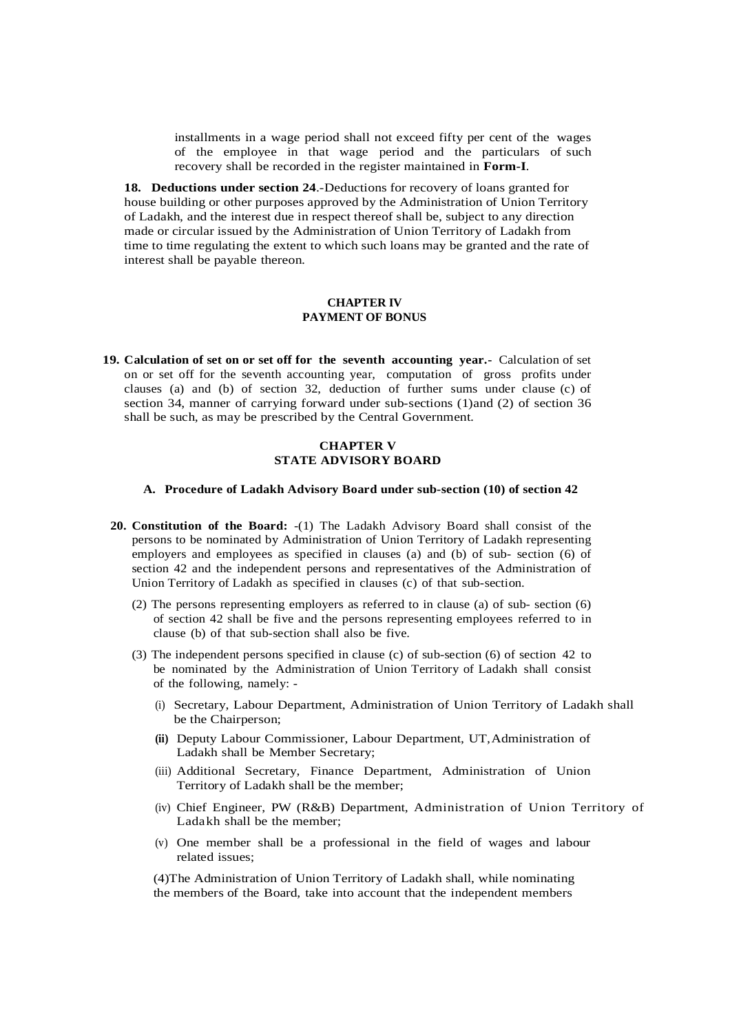installments in a wage period shall not exceed fifty per cent of the wages of the employee in that wage period and the particulars of such recovery shall be recorded in the register maintained in **Form-I**.

**18. Deductions under section 24**.-Deductions for recovery of loans granted for house building or other purposes approved by the Administration of Union Territory of Ladakh, and the interest due in respect thereof shall be, subject to any direction made or circular issued by the Administration of Union Territory of Ladakh from time to time regulating the extent to which such loans may be granted and the rate of interest shall be payable thereon.

### **CHAPTER IV PAYMENT OF BONUS**

**19. Calculation of set on or set off for the seventh accounting year.-** Calculation of set on or set off for the seventh accounting year, computation of gross profits under clauses (a) and (b) of section 32, deduction of further sums under clause (c) of section 34, manner of carrying forward under sub-sections (1)and (2) of section 36 shall be such, as may be prescribed by the Central Government.

### **CHAPTER V STATE ADVISORY BOARD**

### **A. Procedure of Ladakh Advisory Board under sub-section (10) of section 42**

- **20. Constitution of the Board:** -(1) The Ladakh Advisory Board shall consist of the persons to be nominated by Administration of Union Territory of Ladakh representing employers and employees as specified in clauses (a) and (b) of sub- section (6) of section 42 and the independent persons and representatives of the Administration of Union Territory of Ladakh as specified in clauses (c) of that sub-section.
	- (2) The persons representing employers as referred to in clause (a) of sub- section (6) of section 42 shall be five and the persons representing employees referred to in clause (b) of that sub-section shall also be five.
	- (3) The independent persons specified in clause (c) of sub-section (6) of section 42 to be nominated by the Administration of Union Territory of Ladakh shall consist of the following, namely: -
		- (i) Secretary, Labour Department, Administration of Union Territory of Ladakh shall be the Chairperson;
		- **(ii)** Deputy Labour Commissioner, Labour Department, UT,Administration of Ladakh shall be Member Secretary;
		- (iii) Additional Secretary, Finance Department, Administration of Union Territory of Ladakh shall be the member;
		- (iv) Chief Engineer, PW (R&B) Department, Administration of Union Territory of Ladakh shall be the member;
		- (v) One member shall be a professional in the field of wages and labour related issues;

(4)The Administration of Union Territory of Ladakh shall, while nominating the members of the Board, take into account that the independent members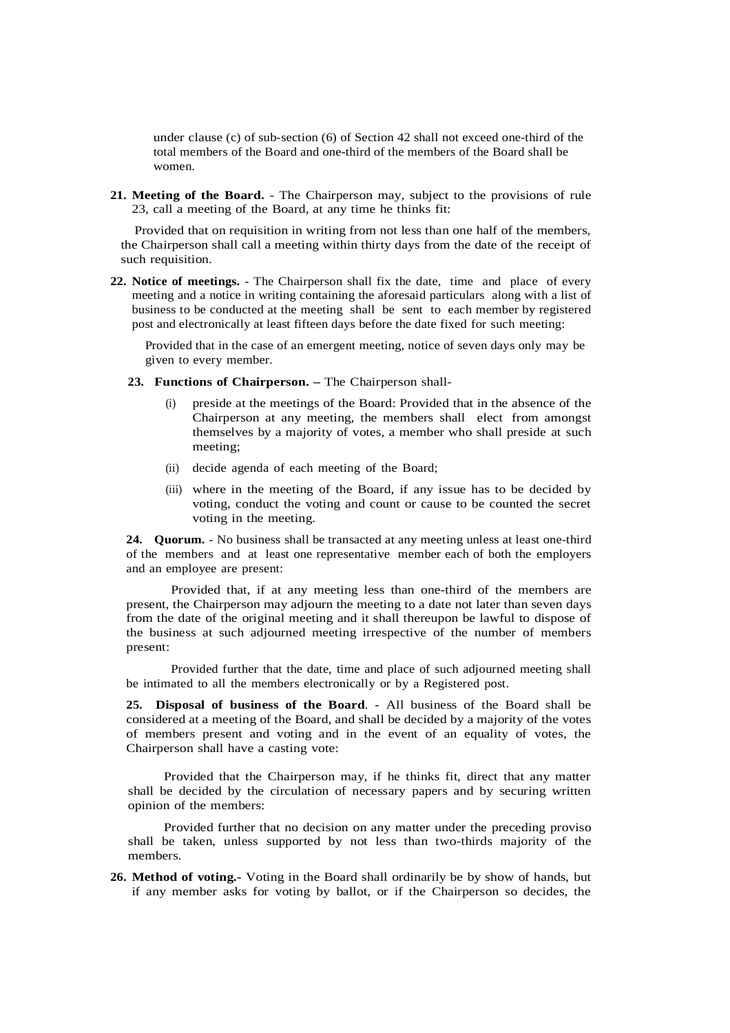under clause (c) of sub-section (6) of Section 42 shall not exceed one-third of the total members of the Board and one-third of the members of the Board shall be women.

**21. Meeting of the Board.** - The Chairperson may, subject to the provisions of rule 23, call a meeting of the Board, at any time he thinks fit:

 Provided that on requisition in writing from not less than one half of the members, the Chairperson shall call a meeting within thirty days from the date of the receipt of such requisition.

**22. Notice of meetings.** - The Chairperson shall fix the date, time and place of every meeting and a notice in writing containing the aforesaid particulars along with a list of business to be conducted at the meeting shall be sent to each member by registered post and electronically at least fifteen days before the date fixed for such meeting:

Provided that in the case of an emergent meeting, notice of seven days only may be given to every member.

- **23. Functions of Chairperson. –** The Chairperson shall-
	- (i) preside at the meetings of the Board: Provided that in the absence of the Chairperson at any meeting, the members shall elect from amongst themselves by a majority of votes, a member who shall preside at such meeting;
	- (ii) decide agenda of each meeting of the Board;
	- (iii) where in the meeting of the Board, if any issue has to be decided by voting, conduct the voting and count or cause to be counted the secret voting in the meeting.

**24. Quorum.** - No business shall be transacted at any meeting unless at least one-third of the members and at least one representative member each of both the employers and an employee are present:

Provided that, if at any meeting less than one-third of the members are present, the Chairperson may adjourn the meeting to a date not later than seven days from the date of the original meeting and it shall thereupon be lawful to dispose of the business at such adjourned meeting irrespective of the number of members present:

Provided further that the date, time and place of such adjourned meeting shall be intimated to all the members electronically or by a Registered post.

**25. Disposal of business of the Board**. - All business of the Board shall be considered at a meeting of the Board, and shall be decided by a majority of the votes of members present and voting and in the event of an equality of votes, the Chairperson shall have a casting vote:

Provided that the Chairperson may, if he thinks fit, direct that any matter shall be decided by the circulation of necessary papers and by securing written opinion of the members:

Provided further that no decision on any matter under the preceding proviso shall be taken, unless supported by not less than two-thirds majority of the members.

**26. Method of voting.-** Voting in the Board shall ordinarily be by show of hands, but if any member asks for voting by ballot, or if the Chairperson so decides, the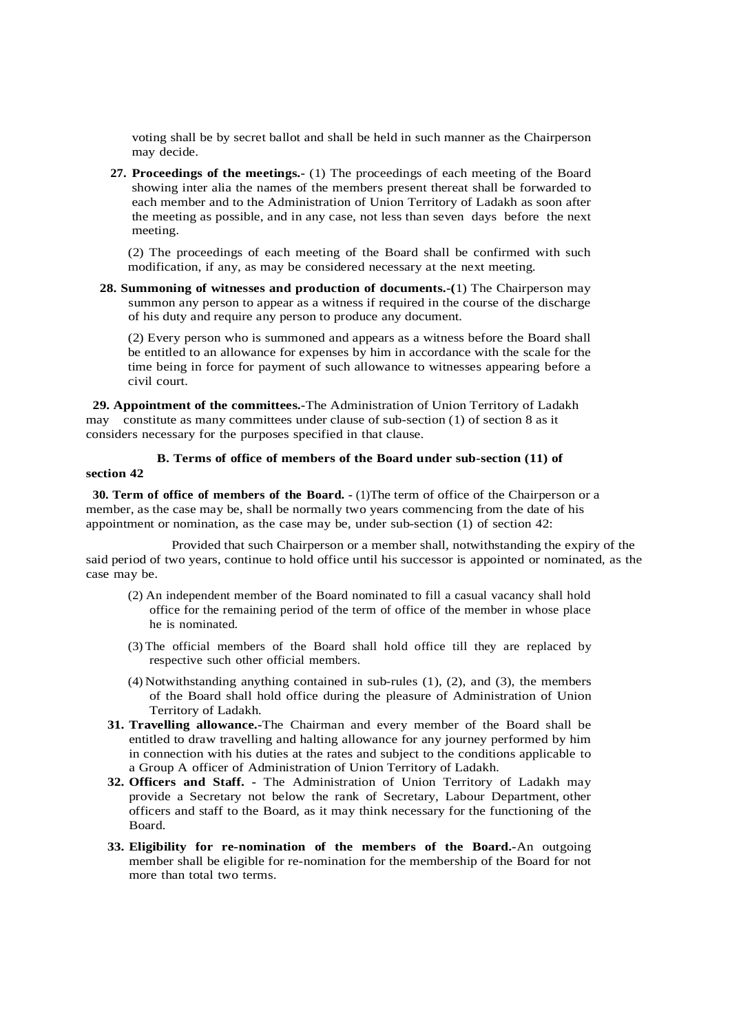voting shall be by secret ballot and shall be held in such manner as the Chairperson may decide.

**27. Proceedings of the meetings.-** (1) The proceedings of each meeting of the Board showing inter alia the names of the members present thereat shall be forwarded to each member and to the Administration of Union Territory of Ladakh as soon after the meeting as possible, and in any case, not less than seven days before the next meeting.

(2) The proceedings of each meeting of the Board shall be confirmed with such modification, if any, as may be considered necessary at the next meeting.

 **28. Summoning of witnesses and production of documents.-(**1) The Chairperson may summon any person to appear as a witness if required in the course of the discharge of his duty and require any person to produce any document.

(2) Every person who is summoned and appears as a witness before the Board shall be entitled to an allowance for expenses by him in accordance with the scale for the time being in force for payment of such allowance to witnesses appearing before a civil court.

 **29. Appointment of the committees.-**The Administration of Union Territory of Ladakh may constitute as many committees under clause of sub-section (1) of section 8 as it considers necessary for the purposes specified in that clause.

## **B. Terms of office of members of the Board under sub-section (11) of**

#### **section 42**

 **30. Term of office of members of the Board. -** (1)The term of office of the Chairperson or a member, as the case may be, shall be normally two years commencing from the date of his appointment or nomination, as the case may be, under sub-section (1) of section 42:

Provided that such Chairperson or a member shall, notwithstanding the expiry of the said period of two years, continue to hold office until his successor is appointed or nominated, as the case may be.

- (2) An independent member of the Board nominated to fill a casual vacancy shall hold office for the remaining period of the term of office of the member in whose place he is nominated.
- (3) The official members of the Board shall hold office till they are replaced by respective such other official members.
- (4) Notwithstanding anything contained in sub-rules (1), (2), and (3), the members of the Board shall hold office during the pleasure of Administration of Union Territory of Ladakh.
- **31. Travelling allowance.-**The Chairman and every member of the Board shall be entitled to draw travelling and halting allowance for any journey performed by him in connection with his duties at the rates and subject to the conditions applicable to a Group A officer of Administration of Union Territory of Ladakh.
- **32. Officers and Staff. -** The Administration of Union Territory of Ladakh may provide a Secretary not below the rank of Secretary, Labour Department, other officers and staff to the Board, as it may think necessary for the functioning of the Board.
- **33. Eligibility for re-nomination of the members of the Board.-**An outgoing member shall be eligible for re-nomination for the membership of the Board for not more than total two terms.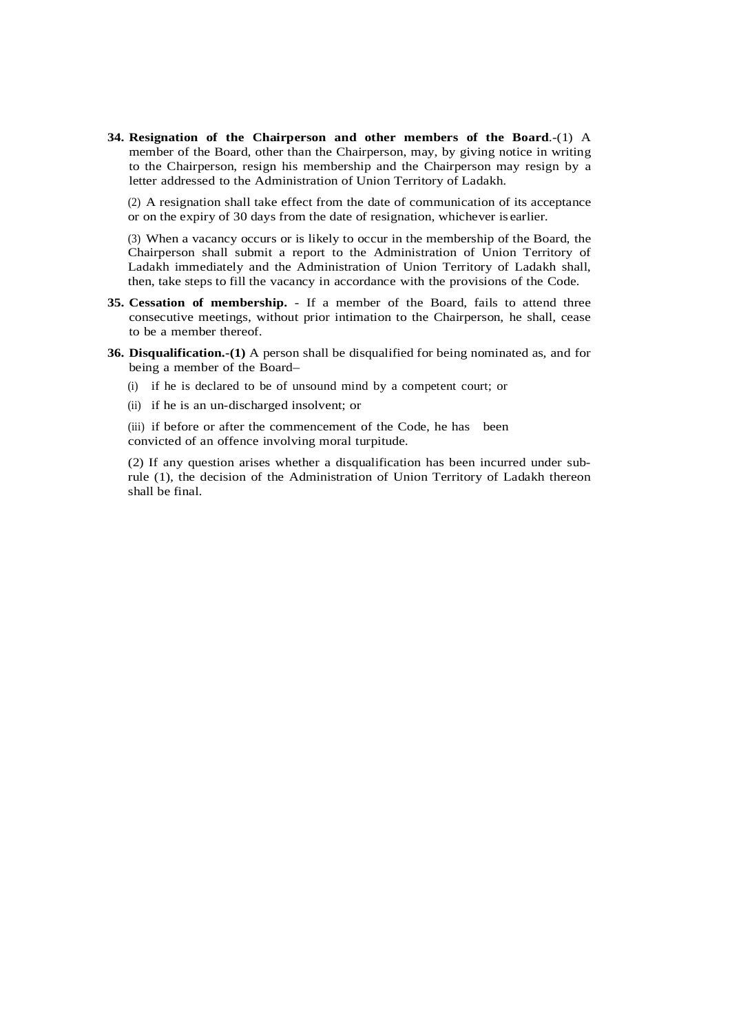**34. Resignation of the Chairperson and other members of the Board**.-(1) A member of the Board, other than the Chairperson, may, by giving notice in writing to the Chairperson, resign his membership and the Chairperson may resign by a letter addressed to the Administration of Union Territory of Ladakh.

(2) A resignation shall take effect from the date of communication of its acceptance or on the expiry of 30 days from the date of resignation, whichever is earlier.

(3) When a vacancy occurs or is likely to occur in the membership of the Board, the Chairperson shall submit a report to the Administration of Union Territory of Ladakh immediately and the Administration of Union Territory of Ladakh shall, then, take steps to fill the vacancy in accordance with the provisions of the Code.

- **35. Cessation of membership.** If a member of the Board, fails to attend three consecutive meetings, without prior intimation to the Chairperson, he shall, cease to be a member thereof.
- **36. Disqualification.-(1)** A person shall be disqualified for being nominated as, and for being a member of the Board–
	- (i) if he is declared to be of unsound mind by a competent court; or
	- (ii) if he is an un-discharged insolvent; or

(iii) if before or after the commencement of the Code, he has been convicted of an offence involving moral turpitude.

(2) If any question arises whether a disqualification has been incurred under subrule (1), the decision of the Administration of Union Territory of Ladakh thereon shall be final.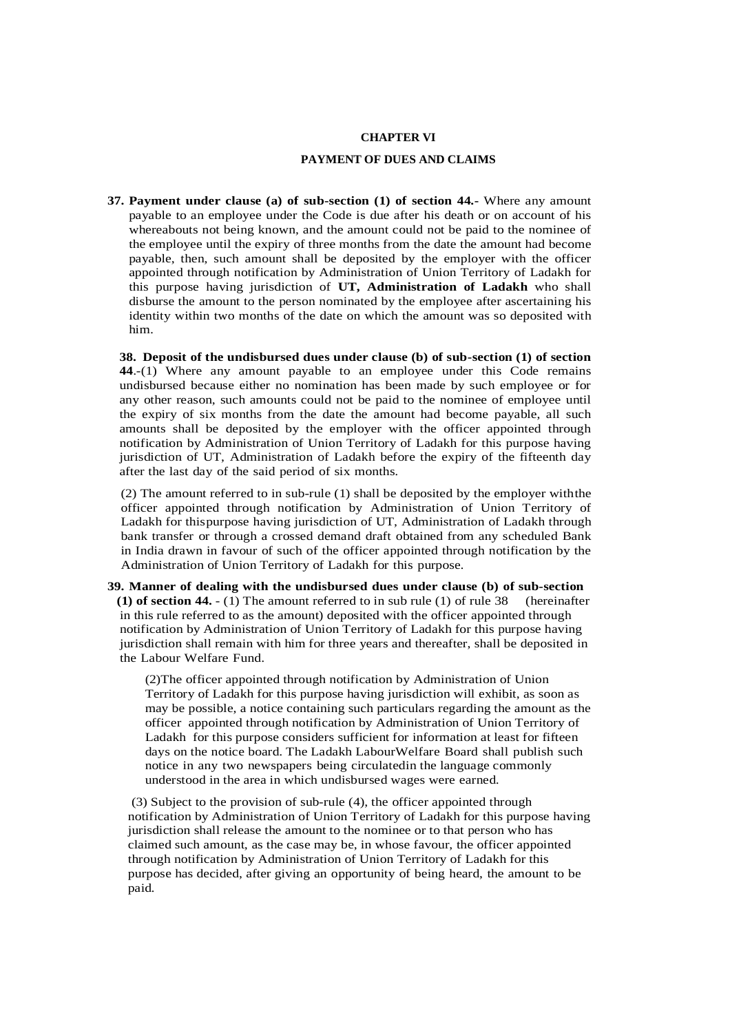#### **CHAPTER VI**

### **PAYMENT OF DUES AND CLAIMS**

**37. Payment under clause (a) of sub-section (1) of section 44.-** Where any amount payable to an employee under the Code is due after his death or on account of his whereabouts not being known, and the amount could not be paid to the nominee of the employee until the expiry of three months from the date the amount had become payable, then, such amount shall be deposited by the employer with the officer appointed through notification by Administration of Union Territory of Ladakh for this purpose having jurisdiction of **UT, Administration of Ladakh** who shall disburse the amount to the person nominated by the employee after ascertaining his identity within two months of the date on which the amount was so deposited with him.

**38. Deposit of the undisbursed dues under clause (b) of sub-section (1) of section 44**.-(1) Where any amount payable to an employee under this Code remains undisbursed because either no nomination has been made by such employee or for any other reason, such amounts could not be paid to the nominee of employee until the expiry of six months from the date the amount had become payable, all such amounts shall be deposited by the employer with the officer appointed through notification by Administration of Union Territory of Ladakh for this purpose having jurisdiction of UT, Administration of Ladakh before the expiry of the fifteenth day after the last day of the said period of six months.

(2) The amount referred to in sub-rule (1) shall be deposited by the employer withthe officer appointed through notification by Administration of Union Territory of Ladakh for thispurpose having jurisdiction of UT, Administration of Ladakh through bank transfer or through a crossed demand draft obtained from any scheduled Bank in India drawn in favour of such of the officer appointed through notification by the Administration of Union Territory of Ladakh for this purpose.

**39. Manner of dealing with the undisbursed dues under clause (b) of sub-section (1) of section 44.** - (1) The amount referred to in sub rule (1) of rule 38 (hereinafter in this rule referred to as the amount) deposited with the officer appointed through notification by Administration of Union Territory of Ladakh for this purpose having jurisdiction shall remain with him for three years and thereafter, shall be deposited in the Labour Welfare Fund.

(2)The officer appointed through notification by Administration of Union Territory of Ladakh for this purpose having jurisdiction will exhibit, as soon as may be possible, a notice containing such particulars regarding the amount as the officer appointed through notification by Administration of Union Territory of Ladakh for this purpose considers sufficient for information at least for fifteen days on the notice board. The Ladakh LabourWelfare Board shall publish such notice in any two newspapers being circulatedin the language commonly understood in the area in which undisbursed wages were earned.

(3) Subject to the provision of sub-rule (4), the officer appointed through notification by Administration of Union Territory of Ladakh for this purpose having jurisdiction shall release the amount to the nominee or to that person who has claimed such amount, as the case may be, in whose favour, the officer appointed through notification by Administration of Union Territory of Ladakh for this purpose has decided, after giving an opportunity of being heard, the amount to be paid.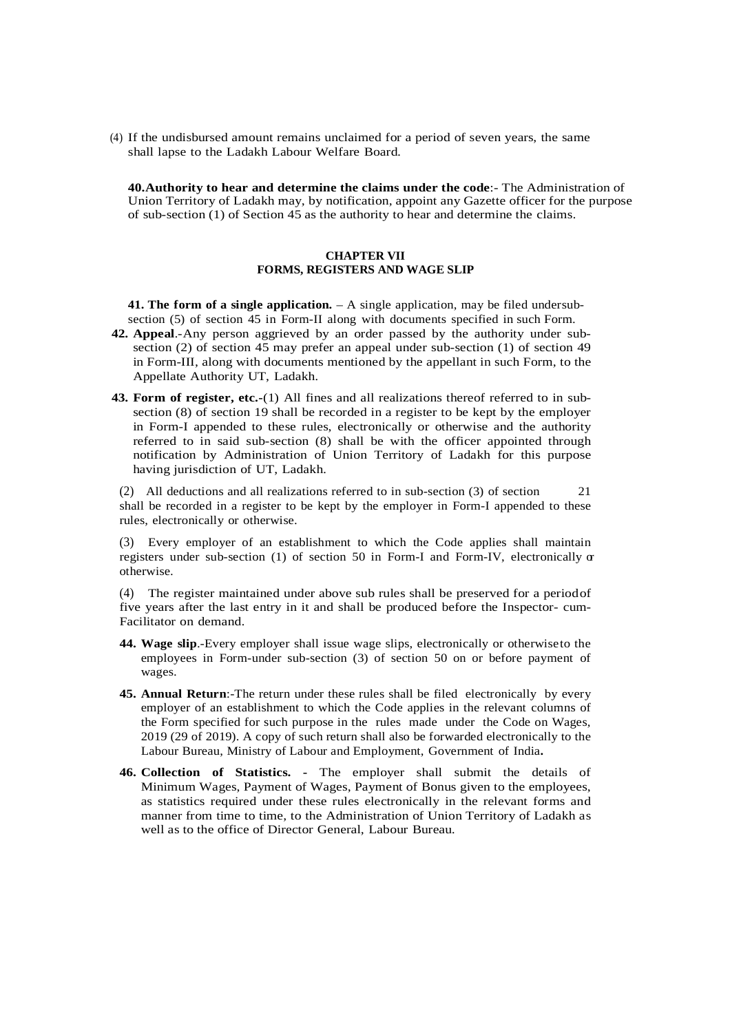(4) If the undisbursed amount remains unclaimed for a period of seven years, the same shall lapse to the Ladakh Labour Welfare Board.

**40.Authority to hear and determine the claims under the code**:- The Administration of Union Territory of Ladakh may, by notification, appoint any Gazette officer for the purpose of sub-section (1) of Section 45 as the authority to hear and determine the claims.

### **CHAPTER VII FORMS, REGISTERS AND WAGE SLIP**

**41. The form of a single application.** – A single application, may be filed undersubsection (5) of section 45 in Form-II along with documents specified in such Form.

- **42. Appeal**.-Any person aggrieved by an order passed by the authority under subsection (2) of section 45 may prefer an appeal under sub-section (1) of section 49 in Form-III, along with documents mentioned by the appellant in such Form, to the Appellate Authority UT, Ladakh.
- **43. Form of register, etc.-**(1) All fines and all realizations thereof referred to in subsection (8) of section 19 shall be recorded in a register to be kept by the employer in Form-I appended to these rules, electronically or otherwise and the authority referred to in said sub-section (8) shall be with the officer appointed through notification by Administration of Union Territory of Ladakh for this purpose having jurisdiction of UT, Ladakh.

(2) All deductions and all realizations referred to in sub-section (3) of section 21 shall be recorded in a register to be kept by the employer in Form-I appended to these rules, electronically or otherwise.

(3) Every employer of an establishment to which the Code applies shall maintain registers under sub-section (1) of section 50 in Form-I and Form-IV, electronically or otherwise.

(4) The register maintained under above sub rules shall be preserved for a periodof five years after the last entry in it and shall be produced before the Inspector- cum-Facilitator on demand.

- **44. Wage slip**.-Every employer shall issue wage slips, electronically or otherwiseto the employees in Form-under sub-section (3) of section 50 on or before payment of wages.
- **45. Annual Return**:-The return under these rules shall be filed electronically by every employer of an establishment to which the Code applies in the relevant columns of the Form specified for such purpose in the rules made under the Code on Wages, 2019 (29 of 2019). A copy of such return shall also be forwarded electronically to the Labour Bureau, Ministry of Labour and Employment, Government of India**.**
- **46. Collection of Statistics. -** The employer shall submit the details of Minimum Wages, Payment of Wages, Payment of Bonus given to the employees, as statistics required under these rules electronically in the relevant forms and manner from time to time, to the Administration of Union Territory of Ladakh as well as to the office of Director General, Labour Bureau.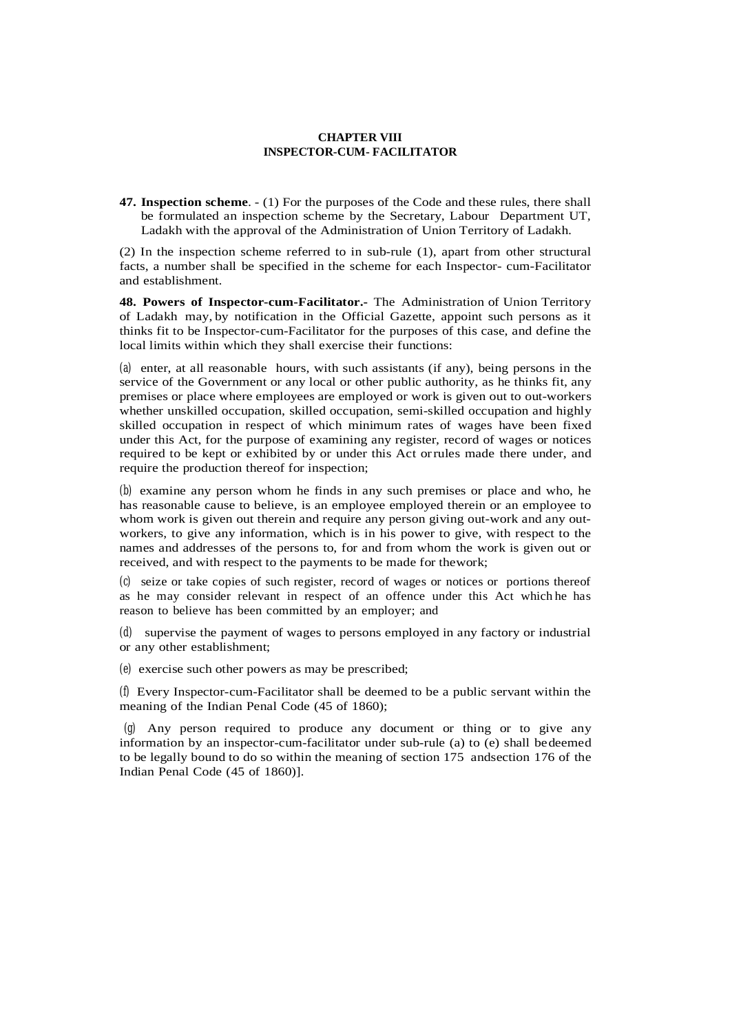### **CHAPTER VIII INSPECTOR-CUM- FACILITATOR**

**47. Inspection scheme**. - (1) For the purposes of the Code and these rules, there shall be formulated an inspection scheme by the Secretary, Labour Department UT, Ladakh with the approval of the Administration of Union Territory of Ladakh.

(2) In the inspection scheme referred to in sub-rule (1), apart from other structural facts, a number shall be specified in the scheme for each Inspector- cum-Facilitator and establishment.

**48. Powers of Inspector-cum-Facilitator.-** The Administration of Union Territory of Ladakh may, by notification in the Official Gazette, appoint such persons as it thinks fit to be Inspector-cum-Facilitator for the purposes of this case, and define the local limits within which they shall exercise their functions:

(a) enter, at all reasonable hours, with such assistants (if any), being persons in the service of the Government or any local or other public authority, as he thinks fit, any premises or place where employees are employed or work is given out to out-workers whether unskilled occupation, skilled occupation, semi-skilled occupation and highly skilled occupation in respect of which minimum rates of wages have been fixed under this Act, for the purpose of examining any register, record of wages or notices required to be kept or exhibited by or under this Act orrules made there under, and require the production thereof for inspection;

(b) examine any person whom he finds in any such premises or place and who, he has reasonable cause to believe, is an employee employed therein or an employee to whom work is given out therein and require any person giving out-work and any outworkers, to give any information, which is in his power to give, with respect to the names and addresses of the persons to, for and from whom the work is given out or received, and with respect to the payments to be made for thework;

(c) seize or take copies of such register, record of wages or notices or portions thereof as he may consider relevant in respect of an offence under this Act which he has reason to believe has been committed by an employer; and

(d) supervise the payment of wages to persons employed in any factory or industrial or any other establishment;

(e) exercise such other powers as may be prescribed;

(f) Every Inspector-cum-Facilitator shall be deemed to be a public servant within the meaning of the Indian Penal Code (45 of 1860);

(g) Any person required to produce any document or thing or to give any information by an inspector-cum-facilitator under sub-rule (a) to (e) shall bedeemed to be legally bound to do so within the meaning of section 175 andsection 176 of the Indian Penal Code (45 of 1860)].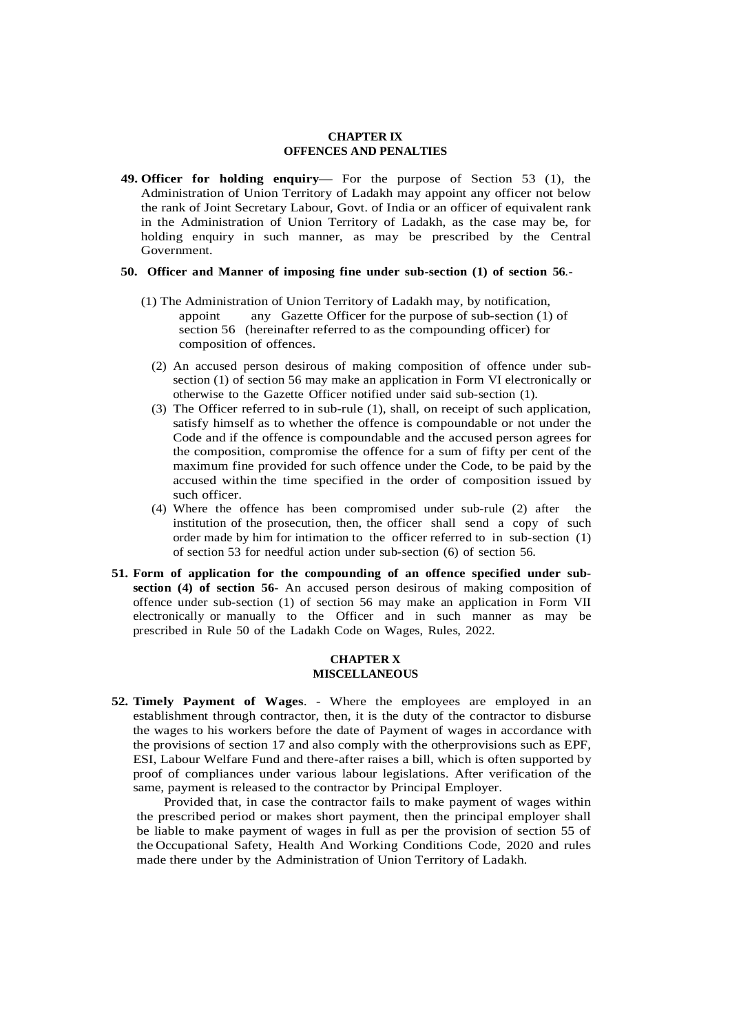#### **CHAPTER IX OFFENCES AND PENALTIES**

**49. Officer for holding enquiry**— For the purpose of Section 53 (1), the Administration of Union Territory of Ladakh may appoint any officer not below the rank of Joint Secretary Labour, Govt. of India or an officer of equivalent rank in the Administration of Union Territory of Ladakh, as the case may be, for holding enquiry in such manner, as may be prescribed by the Central Government.

#### **50. Officer and Manner of imposing fine under sub-section (1) of section 56**.-

- (1) The Administration of Union Territory of Ladakh may, by notification, appoint any Gazette Officer for the purpose of sub-section (1) of section 56 (hereinafter referred to as the compounding officer) for composition of offences.
	- (2) An accused person desirous of making composition of offence under subsection (1) of section 56 may make an application in Form VI electronically or otherwise to the Gazette Officer notified under said sub-section (1).
	- (3) The Officer referred to in sub-rule (1), shall, on receipt of such application, satisfy himself as to whether the offence is compoundable or not under the Code and if the offence is compoundable and the accused person agrees for the composition, compromise the offence for a sum of fifty per cent of the maximum fine provided for such offence under the Code, to be paid by the accused within the time specified in the order of composition issued by such officer.
	- (4) Where the offence has been compromised under sub-rule (2) after the institution of the prosecution, then, the officer shall send a copy of such order made by him for intimation to the officer referred to in sub-section (1) of section 53 for needful action under sub-section (6) of section 56.
- **51. Form of application for the compounding of an offence specified under subsection (4) of section 56**- An accused person desirous of making composition of offence under sub-section (1) of section 56 may make an application in Form VII electronically or manually to the Officer and in such manner as may be prescribed in Rule 50 of the Ladakh Code on Wages, Rules, 2022.

### **CHAPTER X MISCELLANEOUS**

**52. Timely Payment of Wages**. - Where the employees are employed in an establishment through contractor, then, it is the duty of the contractor to disburse the wages to his workers before the date of Payment of wages in accordance with the provisions of section 17 and also comply with the otherprovisions such as EPF, ESI, Labour Welfare Fund and there-after raises a bill, which is often supported by proof of compliances under various labour legislations. After verification of the same, payment is released to the contractor by Principal Employer.

Provided that, in case the contractor fails to make payment of wages within the prescribed period or makes short payment, then the principal employer shall be liable to make payment of wages in full as per the provision of section 55 of the Occupational Safety, Health And Working Conditions Code, 2020 and rules made there under by the Administration of Union Territory of Ladakh.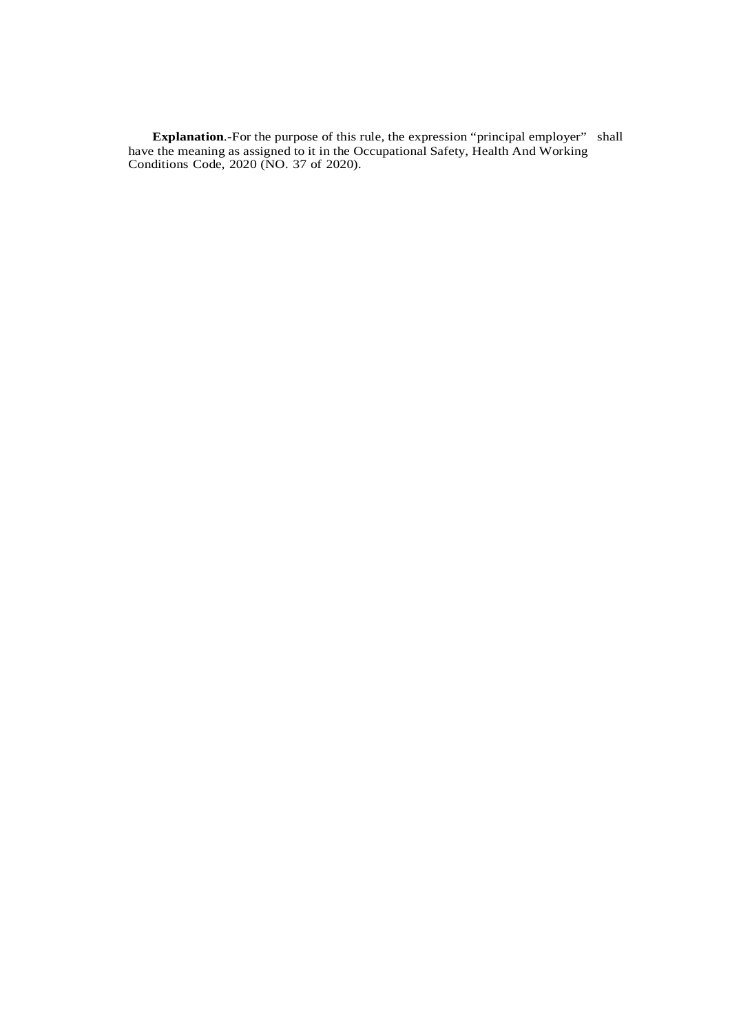**Explanation.**-For the purpose of this rule, the expression "principal employer" shall have the meaning as assigned to it in the Occupational Safety, Health And Working Conditions Code, 2020 (NO. 37 of 2020).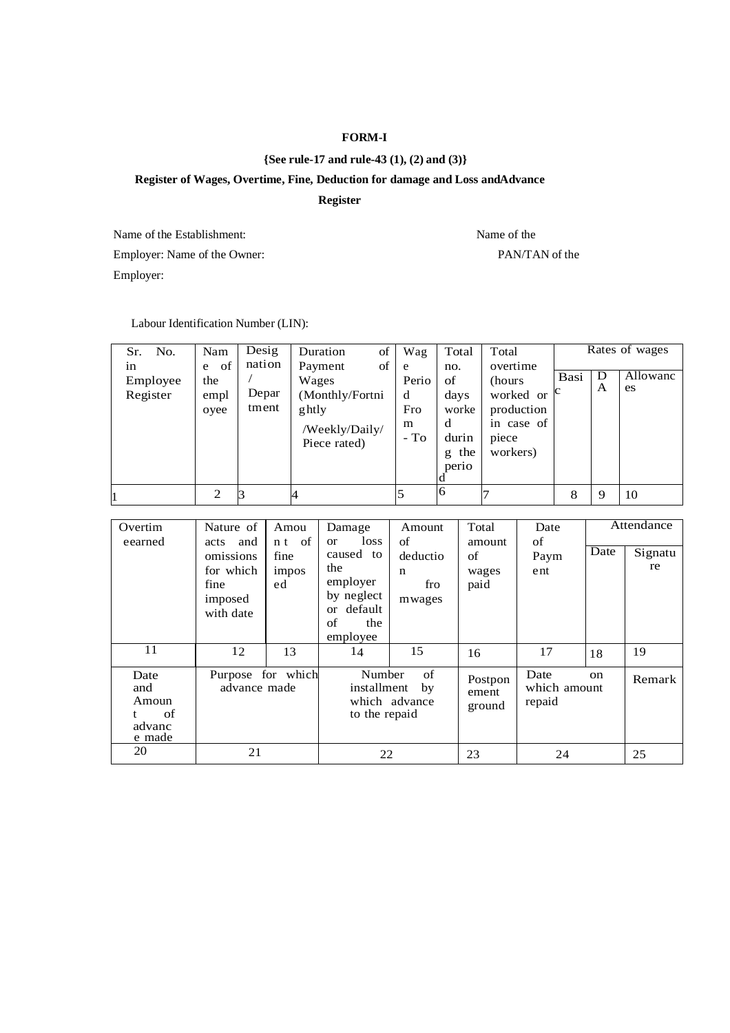## **FORM-I**

## **{See rule-17 and rule-43 (1), (2) and (3)}**

## **Register of Wages, Overtime, Fine, Deduction for damage and Loss andAdvance**

## **Register**

Name of the Establishment: Name of the Name of the Name of the Name of the Name of the Name of the Name of the Name of the Name of the Name of the Name of the Name of the Name of the Name of the Name of the Name of the Nam Employer: Name of the Owner: PAN/TAN of the Employer:

Labour Identification Number (LIN):

| No.<br>Sr.                 | Nam                            | Desig                    | of<br>Duration                                                                       | Wag                                   | Total                                                         | Total                                                                             |      |        | Rates of wages |
|----------------------------|--------------------------------|--------------------------|--------------------------------------------------------------------------------------|---------------------------------------|---------------------------------------------------------------|-----------------------------------------------------------------------------------|------|--------|----------------|
| in<br>Employee<br>Register | of<br>e<br>the<br>empl<br>ovee | nation<br>Depar<br>tment | of<br>Payment<br>Wages<br>(Monthly/Fortni<br>ghtly<br>/Weekly/Daily/<br>Piece rated) | e<br>Perio<br>d<br>Fro<br>m<br>$-$ To | no.<br>of<br>days<br>worke<br>d<br>durin<br>the<br>g<br>perio | overtime<br>(hours)<br>worked or<br>production<br>in case of<br>piece<br>workers) | Basi | D<br>A | Allowanc<br>es |
|                            | 2                              |                          |                                                                                      |                                       | 6                                                             |                                                                                   | 8    | 9      | 10             |

| Overtim<br>eearned                             | Nature of<br>acts and                                  | Amou<br>n <sub>t</sub> of | Damage<br>loss<br><sub>or</sub>                                                      | Amount<br>of                                                        | Total<br>amount     | Date<br>of                     |               | Attendance    |
|------------------------------------------------|--------------------------------------------------------|---------------------------|--------------------------------------------------------------------------------------|---------------------------------------------------------------------|---------------------|--------------------------------|---------------|---------------|
|                                                | omissions<br>for which<br>fine<br>imposed<br>with date | fine<br>impos<br>ed       | caused to<br>the<br>employer<br>by neglect<br>default<br>or<br>of<br>the<br>employee | deductio<br>$\mathbf n$<br>fro<br>mwages                            | of<br>wages<br>paid | Paym<br>ent                    | Date          | Signatu<br>re |
| 11                                             | 12                                                     | 13                        | 14                                                                                   | 15                                                                  | 16                  | 17                             | 18            | 19            |
| Date<br>and<br>Amoun<br>of<br>advanc<br>e made | Purpose for which<br>advance made                      |                           |                                                                                      | of<br>Number<br>installment<br>by<br>which advance<br>to the repaid |                     | Date<br>which amount<br>repaid | <sub>on</sub> | Remark        |
| 20                                             | 21                                                     |                           | 22                                                                                   |                                                                     | 23                  | 24                             |               | 25            |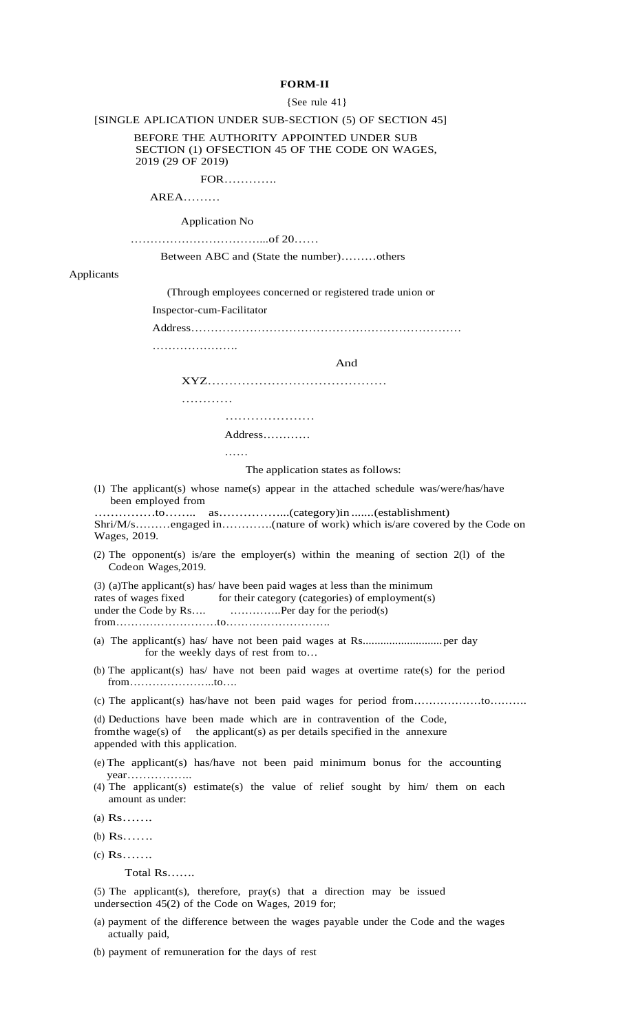### **FORM-II**

#### {See rule 41}

[SINGLE APLICATION UNDER SUB-SECTION (5) OF SECTION 45]

 BEFORE THE AUTHORITY APPOINTED UNDER SUB SECTION (1) OFSECTION 45 OF THE CODE ON WAGES, 2019 (29 OF 2019)

FOR………….

AREA………

Application No

……………………………...of 20……

Between ABC and (State the number)………others

Applicants

(Through employees concerned or registered trade union or

Inspector-cum-Facilitator

Address……………………………………………………………

………………….

And

XYZ……………………………………

…………

………………………

Address…………

……

The application states as follows:

(1) The applicant(s) whose name(s) appear in the attached schedule was/were/has/have been employed from

……………to…….. as……………...(category)in .......(establishment) Shri/M/s………engaged in………….(nature of work) which is/are covered by the Code on Wages, 2019.

(2) The opponent(s) is/are the employer(s) within the meaning of section 2(l) of the Codeon Wages,2019.

(3) (a)The applicant(s) has/ have been paid wages at less than the minimum rates of wages fixed for their category (categories) of employment(s) under the Code by Rs.... ......................Per day for the period(s) from………………………to……………………….

- (a) The applicant(s) has/ have not been paid wages at Rs...........................per day for the weekly days of rest from to…
- (b) The applicant(s) has/ have not been paid wages at overtime rate(s) for the period from…………………..to….
- (c) The applicant(s) has/have not been paid wages for period from………………to……….

(d) Deductions have been made which are in contravention of the Code, from the wage(s) of the applicant(s) as per details specified in the annexure appended with this application.

- (e) The applicant(s) has/have not been paid minimum bonus for the accounting year……………..
- (4) The applicant(s) estimate(s) the value of relief sought by him/ them on each amount as under:
- (a) Rs…….
- (b) Rs…….
- (c) Rs…….

Total Rs…….

(5) The applicant(s), therefore, pray(s) that a direction may be issued undersection 45(2) of the Code on Wages, 2019 for;

- (a) payment of the difference between the wages payable under the Code and the wages actually paid,
- (b) payment of remuneration for the days of rest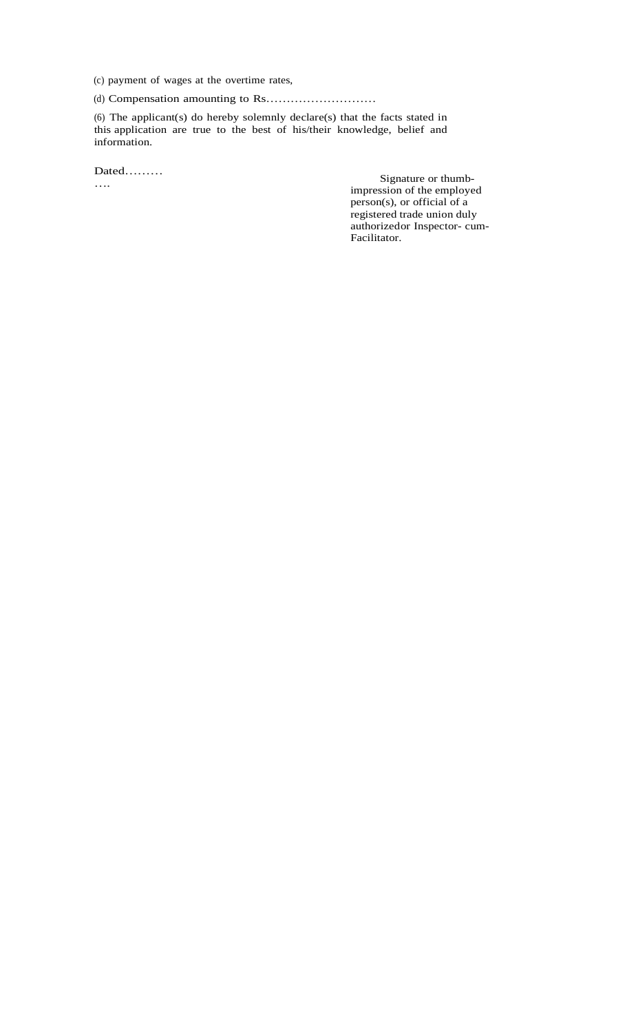(c) payment of wages at the overtime rates,

(d) Compensation amounting to Rs………………………

(6) The applicant(s) do hereby solemnly declare(s) that the facts stated in this application are true to the best of his/their knowledge, belief and information.

Dated………

….

 Signature or thumbimpression of the employed person(s), or official of a registered trade union duly authorizedor Inspector- cum-Facilitator.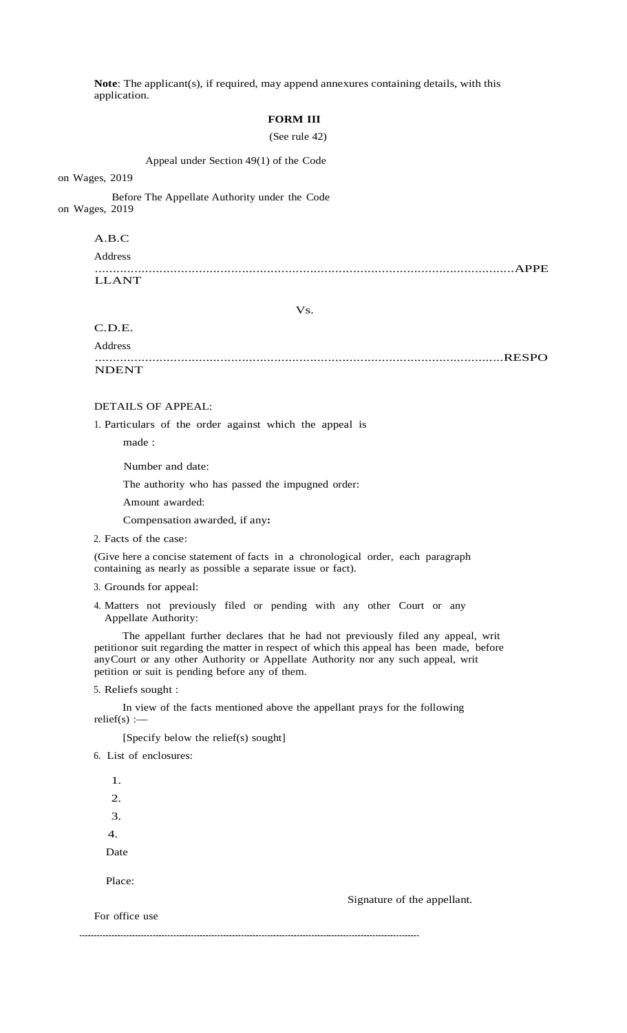**Note**: The applicant(s), if required, may append annexures containing details, with this application.

# **FORM III**

(See rule 42)

Appeal under Section 49(1) of the Code

on Wages, 2019

 Before The Appellate Authority under the Code on Wages, 2019

A.B.C

Address

.....................................................................................................................APPE LLANT

Vs.

C.D.E.

Address ..................................................................................................................RESPO **NDENT** 

### DETAILS OF APPEAL:

1. Particulars of the order against which the appeal is

made :

Number and date:

The authority who has passed the impugned order:

Amount awarded:

Compensation awarded, if any**:**

2. Facts of the case:

(Give here a concise statement of facts in a chronological order, each paragraph containing as nearly as possible a separate issue or fact).

- 3. Grounds for appeal:
- 4. Matters not previously filed or pending with any other Court or any Appellate Authority:

 The appellant further declares that he had not previously filed any appeal, writ petitionor suit regarding the matter in respect of which this appeal has been made, before anyCourt or any other Authority or Appellate Authority nor any such appeal, writ petition or suit is pending before any of them.

5. Reliefs sought :

 In view of the facts mentioned above the appellant prays for the following relief(s) : $-$ 

[Specify below the relief(s) sought]

6. List of enclosures:

1.

4.

 2. 3. Date Place:

Signature of the appellant.

For office use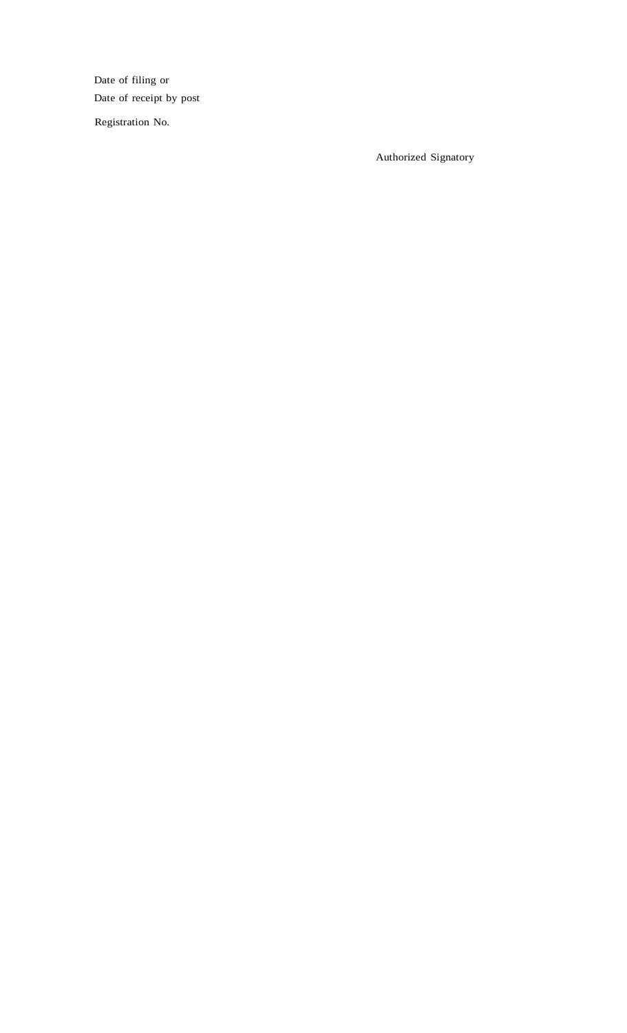Date of filing or Date of receipt by post

Registration No.

Authorized Signatory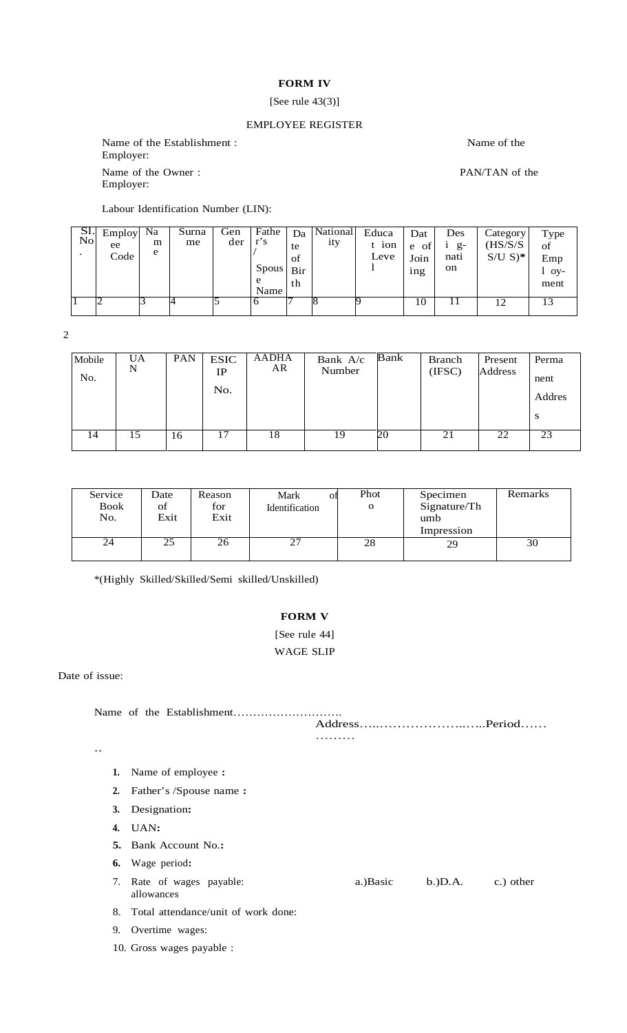# **FORM IV**

## [See rule 43(3)]

# EMPLOYEE REGISTER

Name of the Establishment : Name of the Name of the Name of the Name of the Name of the Name of the Name of the Name of the Name of the Name of the Name of the Name of the Name of the Name of the Name of the Name of the Na Employer: Name of the Owner : PAN/TAN of the Employer:

Labour Identification Number (LIN):

| $\frac{SI.}{No}$ | Employ<br>ee<br>Code     | Na<br>m<br>e | Surna<br>me | Gen<br>der | Fathe<br>$r$ 's<br>Spous<br>e<br>Name | Da<br>te<br>of<br>Bir<br>th | National<br>ity | Educa<br>t ion<br>Leve | Dat<br>e<br>ОI<br>Join<br>1ng | Des<br>$g-$<br>nati<br><sub>on</sub> | Category<br>(HS/S/S)<br>$S/U S$ <sup>*</sup> | Type<br>of<br>Emp<br>O <sub>V</sub><br>ment |
|------------------|--------------------------|--------------|-------------|------------|---------------------------------------|-----------------------------|-----------------|------------------------|-------------------------------|--------------------------------------|----------------------------------------------|---------------------------------------------|
|                  | $\overline{\phantom{a}}$ |              |             |            | O                                     |                             |                 |                        | 10                            | 11                                   | 12                                           | 13                                          |

2

| Mobile<br>No. | UA<br>N | <b>PAN</b> | <b>ESIC</b><br>$_{\rm IP}$<br>No. | AADHA<br>AR | Bank A/c<br>Number | Bank | Branch<br>(IFSC) | Present<br>Address | Perma<br>nent<br>Addres<br><b>S</b> |
|---------------|---------|------------|-----------------------------------|-------------|--------------------|------|------------------|--------------------|-------------------------------------|
| 14            | 15      | 16         | 17                                | 18          | 19                 | 20   | 21               | 22                 | 23                                  |

| Service     | Date | Reason | Mark<br>ОI     | Phot | Specimen     | Remarks |
|-------------|------|--------|----------------|------|--------------|---------|
| <b>Book</b> | of   | for    | Identification |      | Signature/Th |         |
| No.         | Exit | Exit   |                |      | umb          |         |
|             |      |        |                |      | Impression   |         |
| 24          | 25   | 26     | 27             | 28   | 29           | 30      |
|             |      |        |                |      |              |         |

\*(Highly Skilled/Skilled/Semi skilled/Unskilled)

### **FORM V**

# [See rule 44] WAGE SLIP

Date of issue:

Name of the Establishment………………………. Address…..………………..…..Period……

………

- ..
	- **1.** Name of employee **:**
	- **2.** Father's /Spouse name **:**
	- **3.** Designation**:**
	- **4.** UAN**:**
	- **5.** Bank Account No.**:**
	- **6.** Wage period**:**
	- 7. Rate of wages payable: allowances a.)Basic b.)D.A. c.) other
	- 8. Total attendance/unit of work done:
	- 9. Overtime wages:
	- 10. Gross wages payable :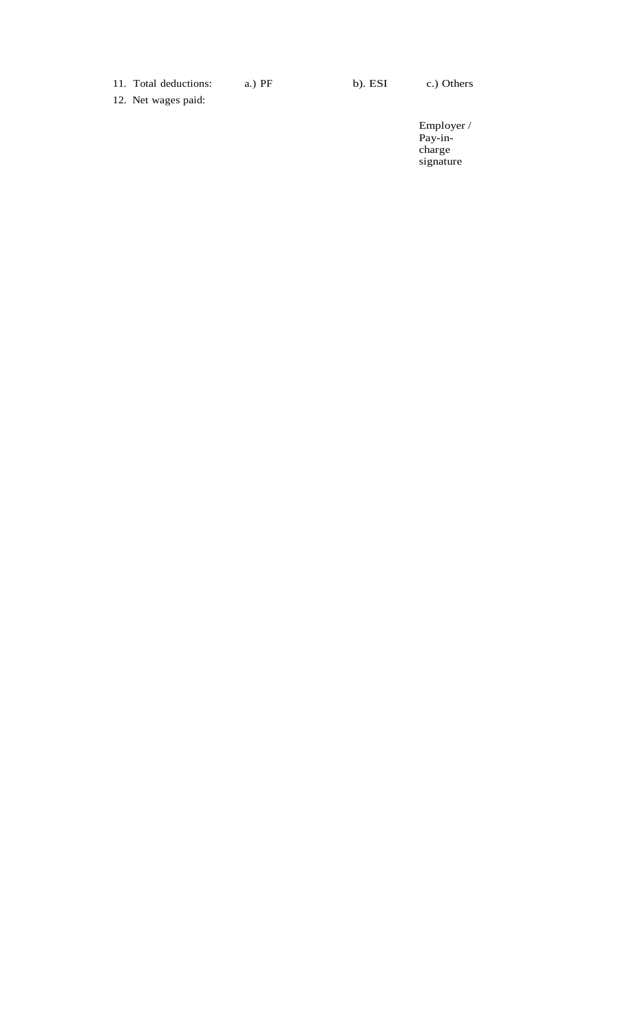11. Total deductions: a.) PF b). ESI c.) Others

12. Net wages paid:

Employer / Pay-incharge signature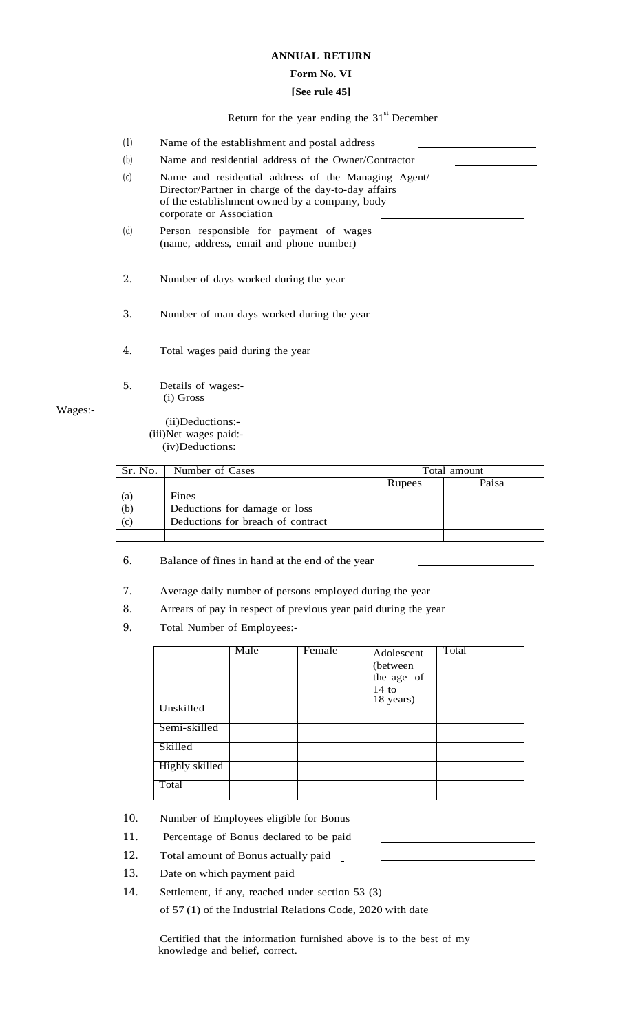### **ANNUAL RETURN**

## **Form No. VI**

### **[See rule 45]**

Return for the year ending the  $31<sup>st</sup>$  December

- (1) Name of the establishment and postal address
- (b) Name and residential address of the Owner/Contractor
- (c) Name and residential address of the Managing Agent/ Director/Partner in charge of the day-to-day affairs of the establishment owned by a company, body corporate or Association
- (d) Person responsible for payment of wages (name, address, email and phone number)

2. Number of days worked during the year

3. Number of man days worked during the year

4. Total wages paid during the year

5. Details of wages:- (i) Gross

Wages:-

 (ii)Deductions:- (iii)Net wages paid:- (iv)Deductions:

|     | Sr. No.   Number of Cases         |        | Total amount |
|-----|-----------------------------------|--------|--------------|
|     |                                   | Rupees | Paisa        |
| (a) | Fines                             |        |              |
| (b) | Deductions for damage or loss     |        |              |
| (c) | Deductions for breach of contract |        |              |
|     |                                   |        |              |

6. Balance of fines in hand at the end of the year

7. Average daily number of persons employed during the year

8. Arrears of pay in respect of previous year paid during the year

9. Total Number of Employees:-

|                | Male | Female | Adolescent           | Total |
|----------------|------|--------|----------------------|-------|
|                |      |        | (between)            |       |
|                |      |        | the age of           |       |
|                |      |        | $14$ to<br>18 years) |       |
| Unskilled      |      |        |                      |       |
| Semi-skilled   |      |        |                      |       |
| Skilled        |      |        |                      |       |
| Highly skilled |      |        |                      |       |
| Total          |      |        |                      |       |

10. Number of Employees eligible for Bonus

- 11. Percentage of Bonus declared to be paid
- 12. Total amount of Bonus actually paid
- 13. Date on which payment paid
- 14. Settlement, if any, reached under section 53 (3)

of 57 (1) of the Industrial Relations Code, 2020 with date

Certified that the information furnished above is to the best of my knowledge and belief, correct.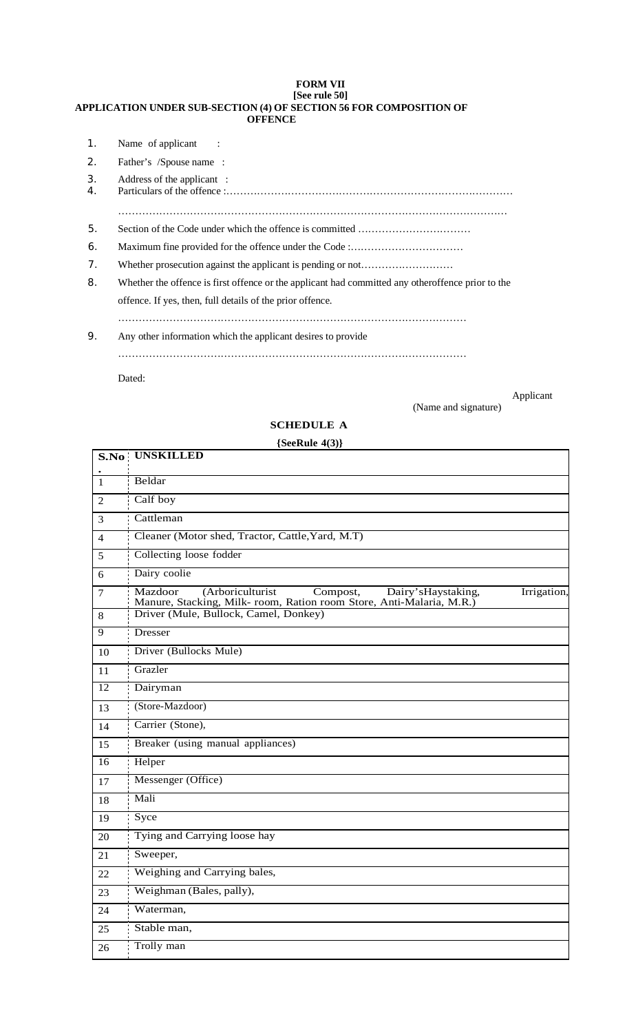### **FORM VII [See rule 50] APPLICATION UNDER SUB-SECTION (4) OF SECTION 56 FOR COMPOSITION OF OFFENCE**

| $\mathbf{1}$ . | Name of applicant :                                                                               |
|----------------|---------------------------------------------------------------------------------------------------|
| 2.             | Father's /Spouse name:                                                                            |
| 3.<br>4.       | Address of the applicant :                                                                        |
|                |                                                                                                   |
| 5.             |                                                                                                   |
| 6.             |                                                                                                   |
| 7.             |                                                                                                   |
| 8.             | Whether the offence is first offence or the applicant had committed any otheroffence prior to the |
|                | offence. If yes, then, full details of the prior offence.                                         |
|                |                                                                                                   |
| 9.             | Any other information which the applicant desires to provide                                      |
|                |                                                                                                   |

Dated:

Applicant and  $\Delta p$ 

(Name and signature)

# **SCHEDULE A**

# **{SeeRule 4(3)}**

|                 | S.No UNSKILLED                                                                                                                                        |
|-----------------|-------------------------------------------------------------------------------------------------------------------------------------------------------|
| $\mathbf{1}$    | Beldar                                                                                                                                                |
| 2               | Calf boy                                                                                                                                              |
| 3               | Cattleman                                                                                                                                             |
| $\overline{4}$  | Cleaner (Motor shed, Tractor, Cattle, Yard, M.T)                                                                                                      |
| 5               | Collecting loose fodder                                                                                                                               |
| 6               | Dairy coolie                                                                                                                                          |
| 7               | Mazdoor<br>(Arboriculturist<br>Compost,<br>Dairy's Haystaking,<br>Irrigation,<br>Manure, Stacking, Milk- room, Ration room Store, Anti-Malaria, M.R.) |
| $8\,$           | Driver (Mule, Bullock, Camel, Donkey)                                                                                                                 |
| $\overline{9}$  | <b>Dresser</b>                                                                                                                                        |
| 10              | Driver (Bullocks Mule)                                                                                                                                |
| 11              | Grazler                                                                                                                                               |
| $\overline{12}$ | Dairyman                                                                                                                                              |
| 13              | (Store-Mazdoor)                                                                                                                                       |
| 14              | Carrier (Stone),                                                                                                                                      |
| 15              | Breaker (using manual appliances)                                                                                                                     |
| 16              | Helper                                                                                                                                                |
| 17              | Messenger (Office)                                                                                                                                    |
| 18              | Mali                                                                                                                                                  |
| 19              | Syce                                                                                                                                                  |
| 20              | Tying and Carrying loose hay                                                                                                                          |
| 21              | Sweeper,                                                                                                                                              |
| 22              | Weighing and Carrying bales,                                                                                                                          |
| 23              | Weighman (Bales, pally),                                                                                                                              |
| 24              | Waterman,                                                                                                                                             |
| 25              | Stable man,                                                                                                                                           |
| 26              | Trolly man                                                                                                                                            |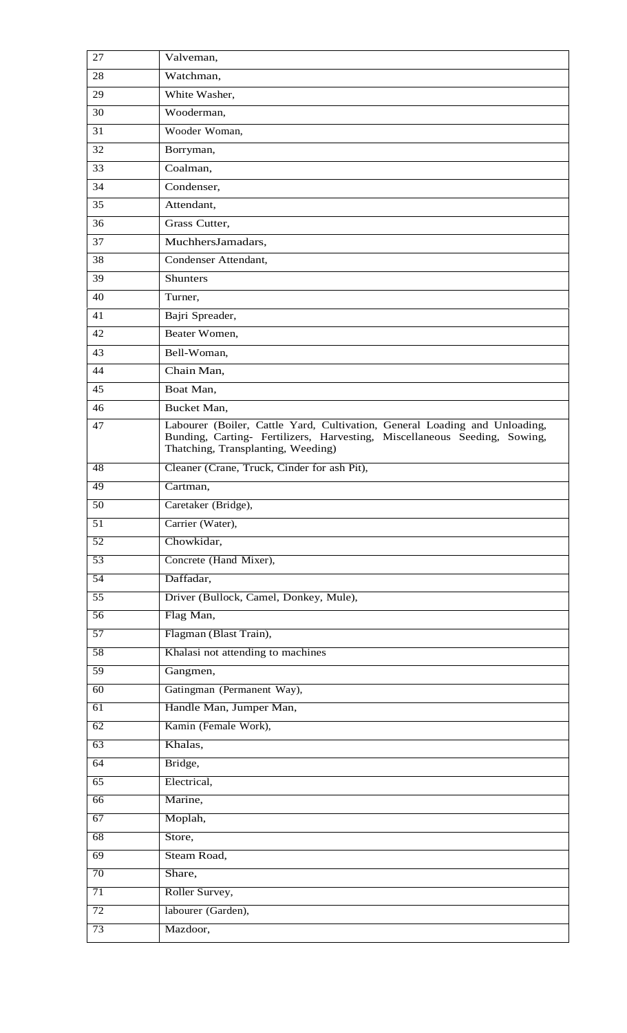| 27              | Valveman,                                                                                                                                                                                     |
|-----------------|-----------------------------------------------------------------------------------------------------------------------------------------------------------------------------------------------|
| 28              | Watchman,                                                                                                                                                                                     |
| 29              | White Washer,                                                                                                                                                                                 |
| 30              | Wooderman,                                                                                                                                                                                    |
| 31              | Wooder Woman,                                                                                                                                                                                 |
| 32              | Borryman,                                                                                                                                                                                     |
| 33              | Coalman,                                                                                                                                                                                      |
| 34              | Condenser,                                                                                                                                                                                    |
| 35              | Attendant,                                                                                                                                                                                    |
| 36              | Grass Cutter,                                                                                                                                                                                 |
| 37              | MuchhersJamadars,                                                                                                                                                                             |
| 38              | Condenser Attendant,                                                                                                                                                                          |
| 39              | Shunters                                                                                                                                                                                      |
| 40              | Turner,                                                                                                                                                                                       |
| 41              | Bajri Spreader,                                                                                                                                                                               |
| 42              | Beater Women,                                                                                                                                                                                 |
| 43              | Bell-Woman,                                                                                                                                                                                   |
| 44              | Chain Man,                                                                                                                                                                                    |
| 45              | Boat Man,                                                                                                                                                                                     |
| 46              | Bucket Man,                                                                                                                                                                                   |
| 47              | Labourer (Boiler, Cattle Yard, Cultivation, General Loading and Unloading,<br>Bunding, Carting- Fertilizers, Harvesting, Miscellaneous Seeding, Sowing,<br>Thatching, Transplanting, Weeding) |
| 48              | Cleaner (Crane, Truck, Cinder for ash Pit),                                                                                                                                                   |
| 49              | Cartman,                                                                                                                                                                                      |
| 50              | Caretaker (Bridge),                                                                                                                                                                           |
| $\overline{51}$ | Carrier (Water),                                                                                                                                                                              |
| 52              | Chowkidar,                                                                                                                                                                                    |
| 53              | Concrete (Hand Mixer),                                                                                                                                                                        |
| 54              | Daffadar,                                                                                                                                                                                     |
| 55              | Driver (Bullock, Camel, Donkey, Mule),                                                                                                                                                        |
| 56              | Flag Man,                                                                                                                                                                                     |
| 57              | Flagman (Blast Train),                                                                                                                                                                        |
| 58              | Khalasi not attending to machines                                                                                                                                                             |
| 59              | Gangmen,                                                                                                                                                                                      |
| 60              | Gatingman (Permanent Way),                                                                                                                                                                    |
| $\overline{61}$ | Handle Man, Jumper Man,                                                                                                                                                                       |
| 62              | Kamin (Female Work),                                                                                                                                                                          |
| 63              | Khalas,                                                                                                                                                                                       |
| 64              | Bridge,                                                                                                                                                                                       |
| 65              | Electrical,                                                                                                                                                                                   |
| 66              | Marine,                                                                                                                                                                                       |
| 67              | Moplah,                                                                                                                                                                                       |
| 68              | Store,                                                                                                                                                                                        |
| 69              | Steam Road,                                                                                                                                                                                   |
| 70              | Share,                                                                                                                                                                                        |
| 71              | Roller Survey,                                                                                                                                                                                |
| 72              | labourer (Garden),                                                                                                                                                                            |
| 73              | Mazdoor,                                                                                                                                                                                      |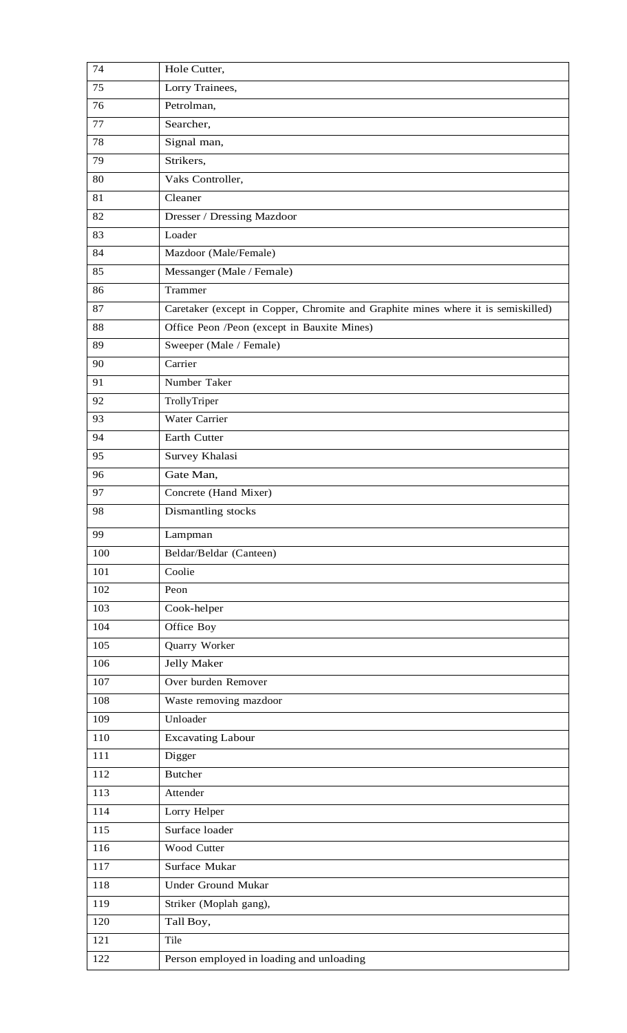| 74  | Hole Cutter,                                                                      |
|-----|-----------------------------------------------------------------------------------|
| 75  | Lorry Trainees,                                                                   |
| 76  | Petrolman,                                                                        |
| 77  | Searcher,                                                                         |
| 78  | Signal man,                                                                       |
| 79  | Strikers,                                                                         |
| 80  | Vaks Controller,                                                                  |
| 81  | Cleaner                                                                           |
| 82  | Dresser / Dressing Mazdoor                                                        |
| 83  | Loader                                                                            |
| 84  | Mazdoor (Male/Female)                                                             |
| 85  | Messanger (Male / Female)                                                         |
| 86  | Trammer                                                                           |
| 87  | Caretaker (except in Copper, Chromite and Graphite mines where it is semiskilled) |
| 88  | Office Peon /Peon (except in Bauxite Mines)                                       |
| 89  | Sweeper (Male / Female)                                                           |
| 90  | Carrier                                                                           |
| 91  | Number Taker                                                                      |
| 92  | TrollyTriper                                                                      |
| 93  | Water Carrier                                                                     |
| 94  | Earth Cutter                                                                      |
| 95  | Survey Khalasi                                                                    |
| 96  | Gate Man,                                                                         |
| 97  | Concrete (Hand Mixer)                                                             |
| 98  | Dismantling stocks                                                                |
| 99  | Lampman                                                                           |
| 100 | Beldar/Beldar (Canteen)                                                           |
| 101 | Coolie                                                                            |
| 102 | Peon                                                                              |
| 103 | Cook-helper                                                                       |
| 104 | Office Boy                                                                        |
| 105 | Quarry Worker                                                                     |
| 106 | <b>Jelly Maker</b>                                                                |
| 107 | Over burden Remover                                                               |
| 108 | Waste removing mazdoor                                                            |
| 109 | Unloader                                                                          |
| 110 | <b>Excavating Labour</b>                                                          |
| 111 | Digger                                                                            |
| 112 | <b>Butcher</b>                                                                    |
| 113 | Attender                                                                          |
| 114 | Lorry Helper                                                                      |
| 115 | Surface loader                                                                    |
| 116 | Wood Cutter                                                                       |
| 117 | Surface Mukar                                                                     |
| 118 | <b>Under Ground Mukar</b>                                                         |
| 119 | Striker (Moplah gang),                                                            |
| 120 | Tall Boy,                                                                         |
| 121 | Tile                                                                              |
| 122 | Person employed in loading and unloading                                          |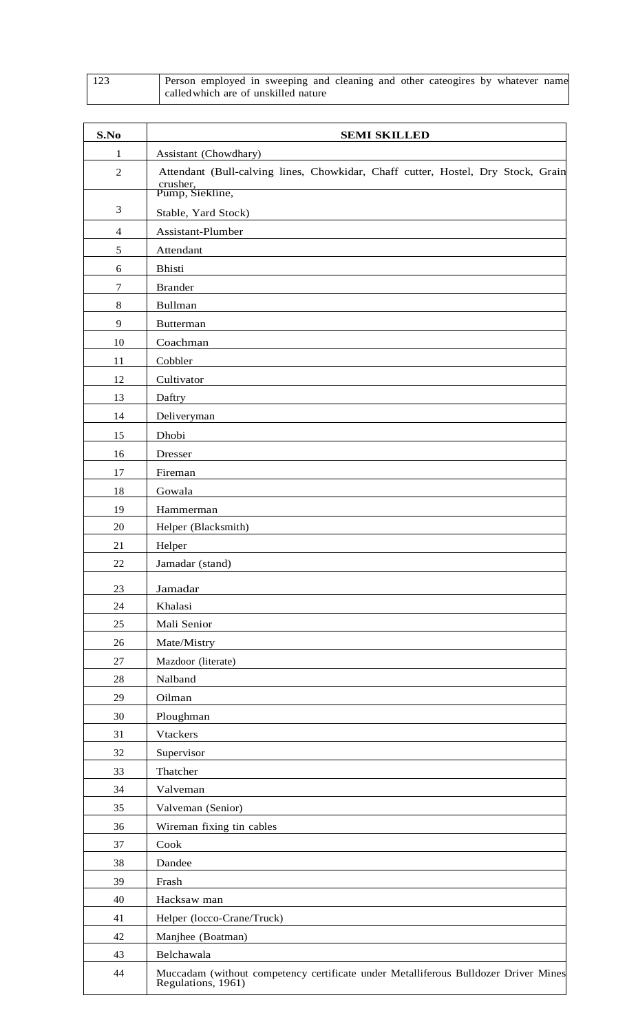| 123 | Person employed in sweeping and cleaning and other cateogires by whatever name |
|-----|--------------------------------------------------------------------------------|
|     | called which are of unskilled nature                                           |

| S.No           | <b>SEMI SKILLED</b>                                                                                             |
|----------------|-----------------------------------------------------------------------------------------------------------------|
| 1              | Assistant (Chowdhary)                                                                                           |
| $\mathfrak{2}$ | Attendant (Bull-calving lines, Chowkidar, Chaff cutter, Hostel, Dry Stock, Grain<br>crusher,<br>Pump, Siekline, |
| 3              | Stable, Yard Stock)                                                                                             |
| $\overline{4}$ | Assistant-Plumber                                                                                               |
| 5              | Attendant                                                                                                       |
| 6              | <b>Bhisti</b>                                                                                                   |
| $\tau$         | <b>Brander</b>                                                                                                  |
| 8              | <b>Bullman</b>                                                                                                  |
| 9              | <b>Butterman</b>                                                                                                |
| 10             | Coachman                                                                                                        |
| 11             | Cobbler                                                                                                         |
| 12             | Cultivator                                                                                                      |
| 13             | Daftry                                                                                                          |
| 14             | Deliveryman                                                                                                     |
| 15             | Dhobi                                                                                                           |
| 16             | Dresser                                                                                                         |
| 17             | Fireman                                                                                                         |
| 18             | Gowala                                                                                                          |
| 19             | Hammerman                                                                                                       |
| 20             | Helper (Blacksmith)                                                                                             |
| 21             | Helper                                                                                                          |
| 22             | Jamadar (stand)                                                                                                 |
| 23             | Jamadar                                                                                                         |
| 24             | Khalasi                                                                                                         |
| 25             | Mali Senior                                                                                                     |
| 26             | Mate/Mistry                                                                                                     |
| 27             | Mazdoor (literate)                                                                                              |
| 28             | Nalband                                                                                                         |
| 29             | Oilman                                                                                                          |
| 30             | Ploughman                                                                                                       |
| 31             | <b>Vtackers</b>                                                                                                 |
| 32             | Supervisor                                                                                                      |
| 33             | Thatcher                                                                                                        |
| 34             | Valveman                                                                                                        |
| 35             | Valveman (Senior)                                                                                               |
| 36             | Wireman fixing tin cables                                                                                       |
| 37             | Cook                                                                                                            |
| 38             | Dandee                                                                                                          |
| 39             | Frash                                                                                                           |
| 40             | Hacksaw man                                                                                                     |
| 41             | Helper (locco-Crane/Truck)                                                                                      |
| 42             | Manjhee (Boatman)                                                                                               |
| 43             | Belchawala                                                                                                      |
| 44             | Muccadam (without competency certificate under Metalliferous Bulldozer Driver Mines<br>Regulations, 1961)       |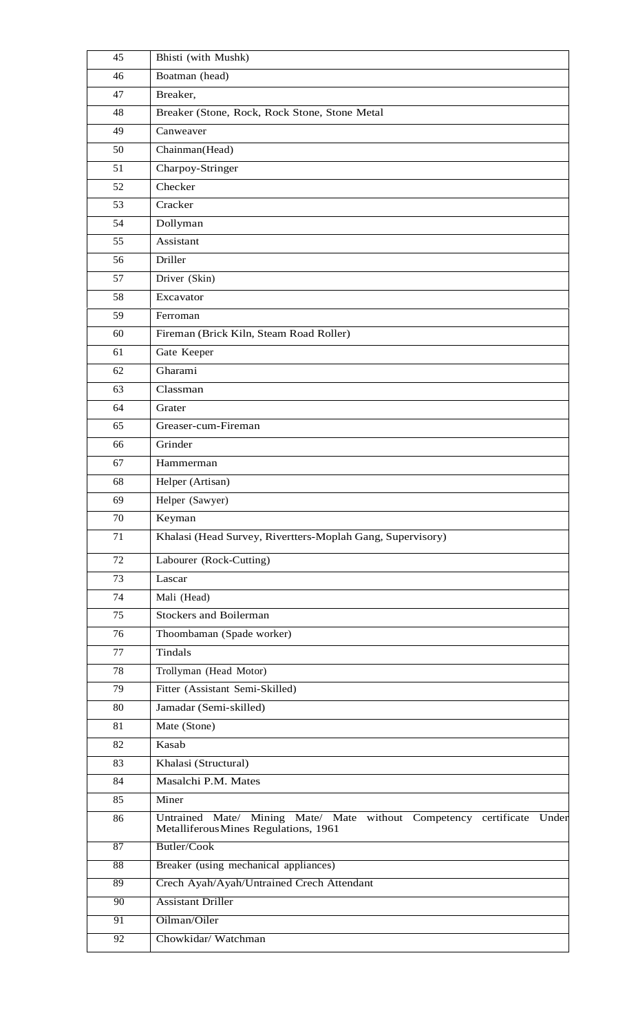| 45              | Bhisti (with Mushk)                                                                                             |
|-----------------|-----------------------------------------------------------------------------------------------------------------|
| 46              | Boatman (head)                                                                                                  |
| 47              | Breaker,                                                                                                        |
| 48              | Breaker (Stone, Rock, Rock Stone, Stone Metal                                                                   |
| 49              | Canweaver                                                                                                       |
| 50              | Chainman(Head)                                                                                                  |
| 51              | Charpoy-Stringer                                                                                                |
| 52              | Checker                                                                                                         |
| 53              | Cracker                                                                                                         |
| 54              | Dollyman                                                                                                        |
| 55              | Assistant                                                                                                       |
| 56              | Driller                                                                                                         |
| 57              | Driver (Skin)                                                                                                   |
| 58              | Excavator                                                                                                       |
| 59              | Ferroman                                                                                                        |
| 60              | Fireman (Brick Kiln, Steam Road Roller)                                                                         |
| 61              | Gate Keeper                                                                                                     |
| 62              | Gharami                                                                                                         |
| 63              | Classman                                                                                                        |
| 64              | Grater                                                                                                          |
| 65              | Greaser-cum-Fireman                                                                                             |
| 66              | Grinder                                                                                                         |
| 67              | Hammerman                                                                                                       |
| 68              | Helper (Artisan)                                                                                                |
| 69              | Helper (Sawyer)                                                                                                 |
| 70              | Keyman                                                                                                          |
| 71              | Khalasi (Head Survey, Rivertters-Moplah Gang, Supervisory)                                                      |
| 72              | Labourer (Rock-Cutting)                                                                                         |
| 73              | Lascar                                                                                                          |
| 74              | Mali (Head)                                                                                                     |
| 75              | <b>Stockers and Boilerman</b>                                                                                   |
| 76              | Thoombaman (Spade worker)                                                                                       |
| 77              | Tindals                                                                                                         |
| 78              | Trollyman (Head Motor)                                                                                          |
| 79              | Fitter (Assistant Semi-Skilled)                                                                                 |
| 80              | Jamadar (Semi-skilled)                                                                                          |
| 81              | Mate (Stone)                                                                                                    |
| 82              | Kasab                                                                                                           |
| 83              | Khalasi (Structural)                                                                                            |
| 84              | Masalchi P.M. Mates                                                                                             |
| 85              | Miner                                                                                                           |
| 86              | Untrained Mate/ Mining Mate/ Mate without Competency certificate Under<br>Metalliferous Mines Regulations, 1961 |
| 87              | Butler/Cook                                                                                                     |
| 88              | Breaker (using mechanical appliances)                                                                           |
| 89              | Crech Ayah/Ayah/Untrained Crech Attendant                                                                       |
| 90              | <b>Assistant Driller</b>                                                                                        |
| 91              | Oilman/Oiler                                                                                                    |
| $\overline{92}$ | Chowkidar/Watchman                                                                                              |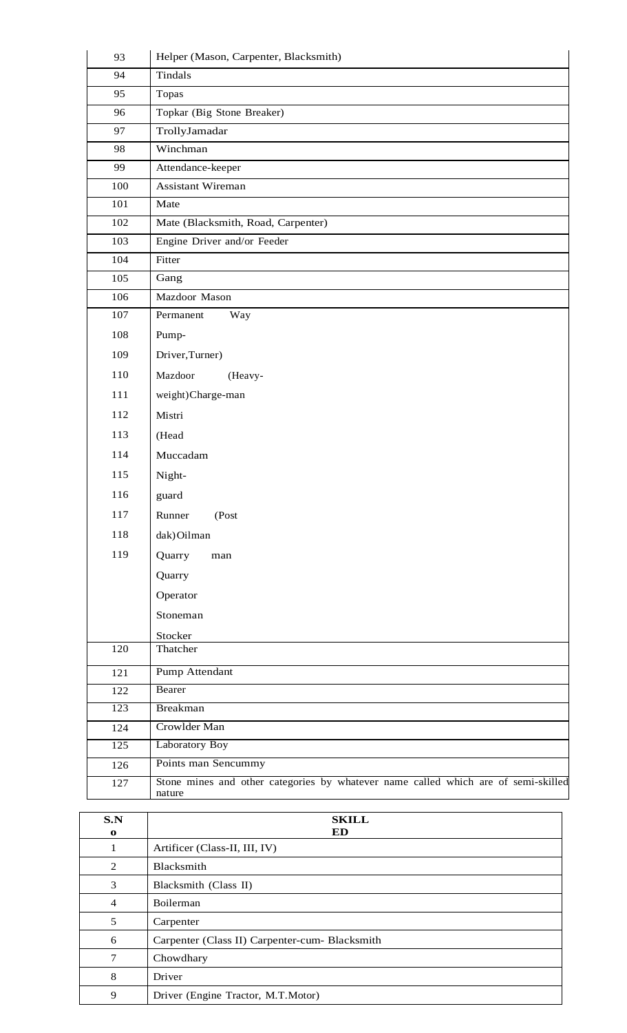| 93               | Helper (Mason, Carpenter, Blacksmith)                                              |
|------------------|------------------------------------------------------------------------------------|
| 94               | Tindals                                                                            |
| 95               | Topas                                                                              |
| 96               | Topkar (Big Stone Breaker)                                                         |
| 97               | TrollyJamadar                                                                      |
| 98               | Winchman                                                                           |
| 99               | Attendance-keeper                                                                  |
| 100              | <b>Assistant Wireman</b>                                                           |
| 101              | Mate                                                                               |
| 102              | Mate (Blacksmith, Road, Carpenter)                                                 |
| 103              | Engine Driver and/or Feeder                                                        |
| 104              | Fitter                                                                             |
| 105              | Gang                                                                               |
| 106              | Mazdoor Mason                                                                      |
| 107              | Permanent<br>Way                                                                   |
| 108              | Pump-                                                                              |
| 109              | Driver, Turner)                                                                    |
| 110              | Mazdoor<br>(Heavy-                                                                 |
| 111              | weight)Charge-man                                                                  |
| 112              | Mistri                                                                             |
| 113              | (Head                                                                              |
| 114              | Muccadam                                                                           |
| 115              | Night-                                                                             |
| 116              | guard                                                                              |
| 117              | Runner<br>(Post                                                                    |
| 118              | dak) Oilman                                                                        |
| 119              | Quarry<br>$_{\rm man}$                                                             |
|                  | Quarry                                                                             |
|                  | Operator                                                                           |
|                  | Stoneman                                                                           |
|                  |                                                                                    |
| 120              | Stocker<br>Thatcher                                                                |
| 121              | Pump Attendant                                                                     |
| 122              | Bearer                                                                             |
| 123              | <b>Breakman</b>                                                                    |
| 124              | Crowlder Man                                                                       |
| $\overline{125}$ | Laboratory Boy                                                                     |
| 126              | Points man Sencummy                                                                |
| 127              | Stone mines and other categories by whatever name called which are of semi-skilled |
|                  | nature                                                                             |
| S.N              | <b>SKILL</b>                                                                       |
| $\mathbf{o}$     | ED                                                                                 |

| S.N<br>$\mathbf{o}$ | <b>SKILL</b><br>ED                             |
|---------------------|------------------------------------------------|
| 1                   | Artificer (Class-II, III, IV)                  |
| 2                   | Blacksmith                                     |
| 3                   | Blacksmith (Class II)                          |
| $\overline{4}$      | <b>Boilerman</b>                               |
| 5                   | Carpenter                                      |
| 6                   | Carpenter (Class II) Carpenter-cum- Blacksmith |
| 7                   | Chowdhary                                      |
| 8                   | Driver                                         |
| 9                   | Driver (Engine Tractor, M.T.Motor)             |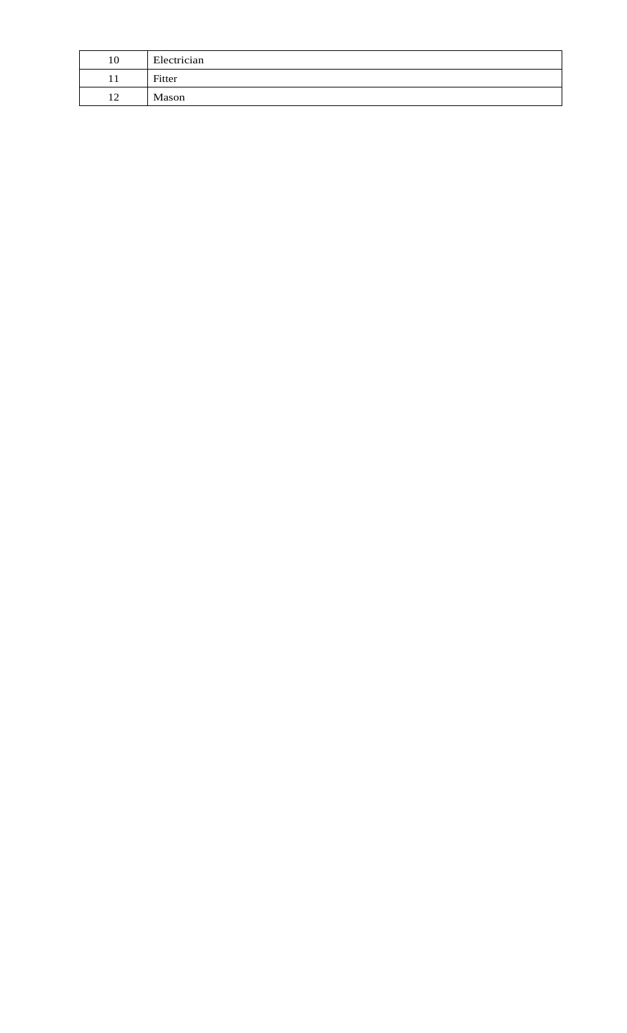| 10 | Electrician |
|----|-------------|
|    | Fitter      |
| 12 | Mason       |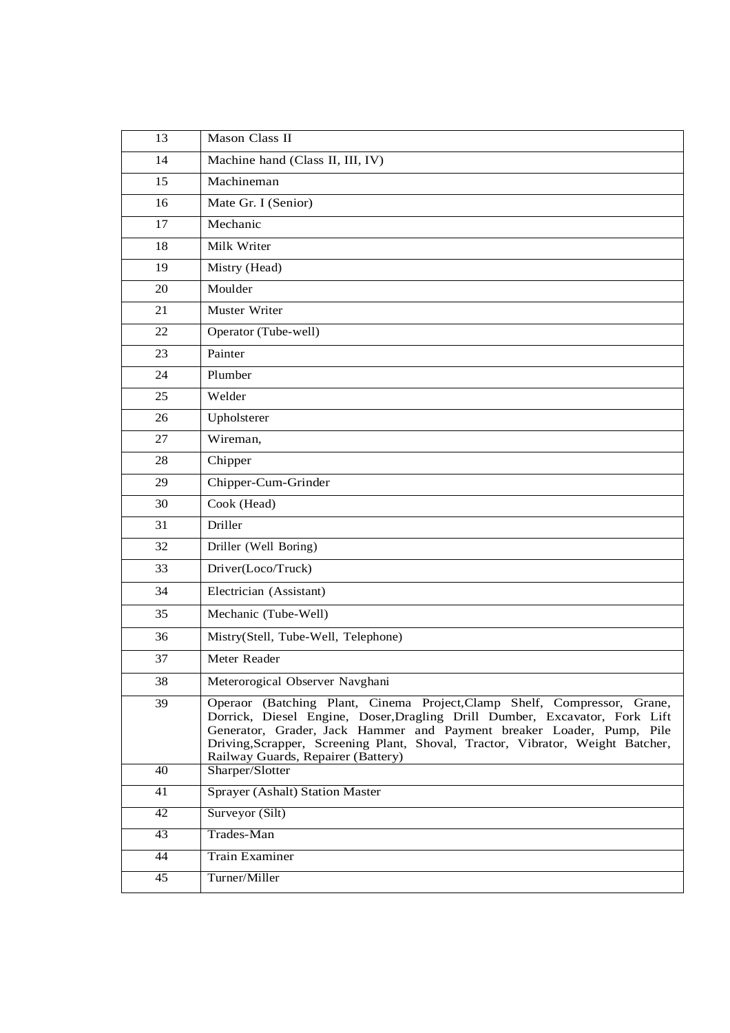| 13              | Mason Class II                                                                                                                                                                                                                                                                                                                                          |
|-----------------|---------------------------------------------------------------------------------------------------------------------------------------------------------------------------------------------------------------------------------------------------------------------------------------------------------------------------------------------------------|
| 14              | Machine hand (Class II, III, IV)                                                                                                                                                                                                                                                                                                                        |
| 15              | Machineman                                                                                                                                                                                                                                                                                                                                              |
| 16              | Mate Gr. I (Senior)                                                                                                                                                                                                                                                                                                                                     |
| 17              | Mechanic                                                                                                                                                                                                                                                                                                                                                |
| 18              | Milk Writer                                                                                                                                                                                                                                                                                                                                             |
| 19              | Mistry (Head)                                                                                                                                                                                                                                                                                                                                           |
| 20              | Moulder                                                                                                                                                                                                                                                                                                                                                 |
| 21              | Muster Writer                                                                                                                                                                                                                                                                                                                                           |
| 22              | Operator (Tube-well)                                                                                                                                                                                                                                                                                                                                    |
| 23              | Painter                                                                                                                                                                                                                                                                                                                                                 |
| 24              | Plumber                                                                                                                                                                                                                                                                                                                                                 |
| 25              | Welder                                                                                                                                                                                                                                                                                                                                                  |
| 26              | Upholsterer                                                                                                                                                                                                                                                                                                                                             |
| 27              | Wireman,                                                                                                                                                                                                                                                                                                                                                |
| 28              | Chipper                                                                                                                                                                                                                                                                                                                                                 |
| 29              | Chipper-Cum-Grinder                                                                                                                                                                                                                                                                                                                                     |
| 30              | Cook (Head)                                                                                                                                                                                                                                                                                                                                             |
| 31              | Driller                                                                                                                                                                                                                                                                                                                                                 |
| 32              | Driller (Well Boring)                                                                                                                                                                                                                                                                                                                                   |
| 33              | Driver(Loco/Truck)                                                                                                                                                                                                                                                                                                                                      |
| 34              | Electrician (Assistant)                                                                                                                                                                                                                                                                                                                                 |
| 35              | Mechanic (Tube-Well)                                                                                                                                                                                                                                                                                                                                    |
| 36              | Mistry(Stell, Tube-Well, Telephone)                                                                                                                                                                                                                                                                                                                     |
| 37              | Meter Reader                                                                                                                                                                                                                                                                                                                                            |
| 38              | Meterorogical Observer Navghani                                                                                                                                                                                                                                                                                                                         |
| 39              | Operaor (Batching Plant, Cinema Project, Clamp Shelf, Compressor, Grane,<br>Dorrick, Diesel Engine, Doser, Dragling Drill Dumber, Excavator, Fork Lift<br>Generator, Grader, Jack Hammer and Payment breaker Loader, Pump, Pile<br>Driving, Scrapper, Screening Plant, Shoval, Tractor, Vibrator, Weight Batcher,<br>Railway Guards, Repairer (Battery) |
| 40              | Sharper/Slotter                                                                                                                                                                                                                                                                                                                                         |
| 41              | <b>Sprayer (Ashalt) Station Master</b>                                                                                                                                                                                                                                                                                                                  |
| 42              | Surveyor (Silt)                                                                                                                                                                                                                                                                                                                                         |
| 43              | Trades-Man                                                                                                                                                                                                                                                                                                                                              |
| 44              | <b>Train Examiner</b>                                                                                                                                                                                                                                                                                                                                   |
| $\overline{45}$ | Turner/Miller                                                                                                                                                                                                                                                                                                                                           |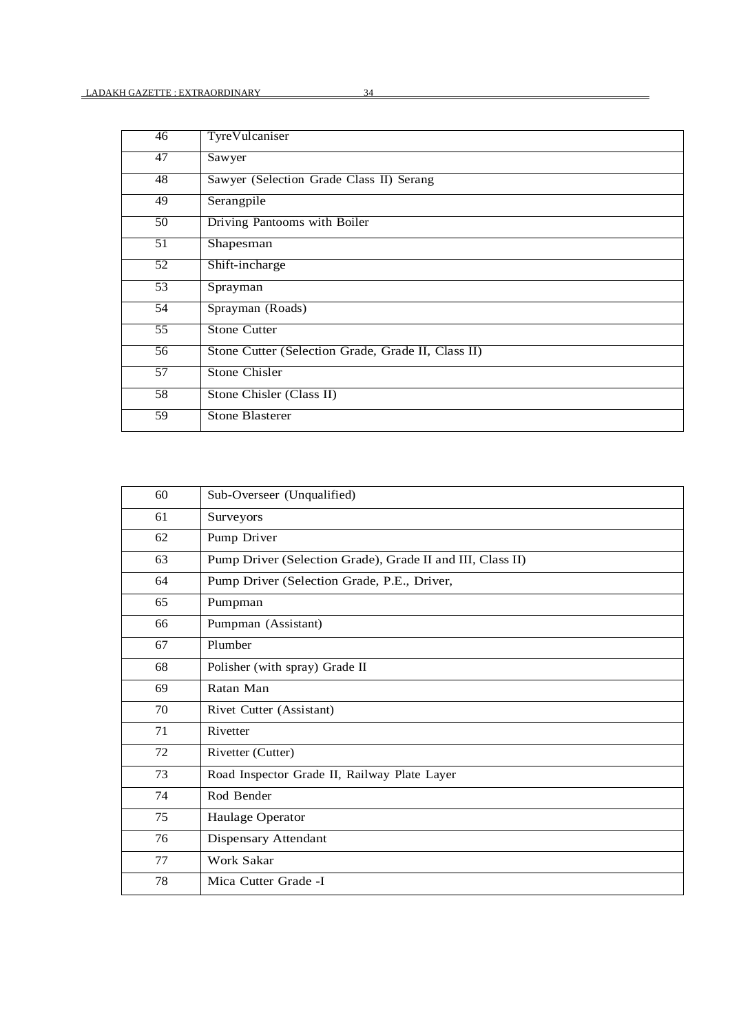| 46              | TyreVulcaniser                                     |
|-----------------|----------------------------------------------------|
| 47              | Sawyer                                             |
| 48              | Sawyer (Selection Grade Class II) Serang           |
| 49              | Serangpile                                         |
| 50              | Driving Pantooms with Boiler                       |
| 51              | Shapesman                                          |
| 52              | Shift-incharge                                     |
| $\overline{53}$ | Sprayman                                           |
| $\overline{54}$ | Sprayman (Roads)                                   |
| 55              | <b>Stone Cutter</b>                                |
| 56              | Stone Cutter (Selection Grade, Grade II, Class II) |
| 57              | Stone Chisler                                      |
| $\overline{58}$ | Stone Chisler (Class II)                           |
| 59              | Stone Blasterer                                    |

| 60 | Sub-Overseer (Unqualified)                                 |
|----|------------------------------------------------------------|
| 61 | Surveyors                                                  |
| 62 | Pump Driver                                                |
| 63 | Pump Driver (Selection Grade), Grade II and III, Class II) |
| 64 | Pump Driver (Selection Grade, P.E., Driver,                |
| 65 | Pumpman                                                    |
| 66 | Pumpman (Assistant)                                        |
| 67 | Plumber                                                    |
| 68 | Polisher (with spray) Grade II                             |
| 69 | Ratan Man                                                  |
| 70 | Rivet Cutter (Assistant)                                   |
| 71 | Rivetter                                                   |
| 72 | Rivetter (Cutter)                                          |
| 73 | Road Inspector Grade II, Railway Plate Layer               |
| 74 | Rod Bender                                                 |
| 75 | Haulage Operator                                           |
| 76 | Dispensary Attendant                                       |
| 77 | Work Sakar                                                 |
| 78 | Mica Cutter Grade -I                                       |
|    |                                                            |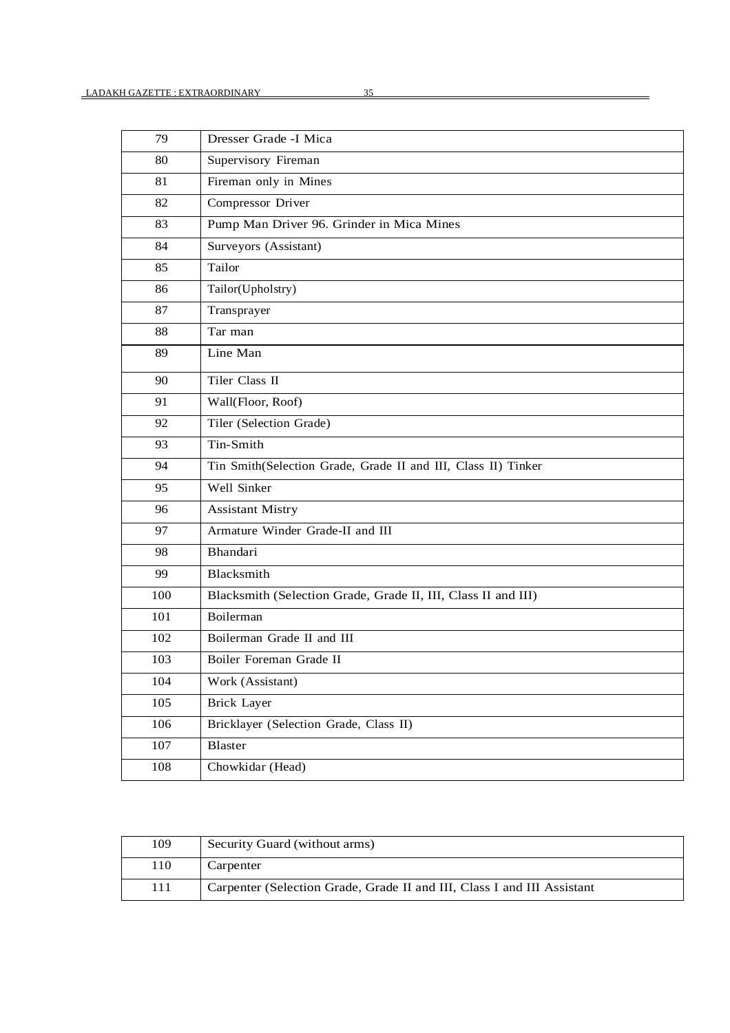| 79  | Dresser Grade -I Mica                                         |
|-----|---------------------------------------------------------------|
| 80  | Supervisory Fireman                                           |
| 81  | Fireman only in Mines                                         |
| 82  | Compressor Driver                                             |
| 83  | Pump Man Driver 96. Grinder in Mica Mines                     |
| 84  | Surveyors (Assistant)                                         |
| 85  | Tailor                                                        |
| 86  | Tailor(Upholstry)                                             |
| 87  | Transprayer                                                   |
| 88  | Tar man                                                       |
| 89  | Line Man                                                      |
| 90  | Tiler Class II                                                |
| 91  | Wall(Floor, Roof)                                             |
| 92  | Tiler (Selection Grade)                                       |
| 93  | Tin-Smith                                                     |
| 94  | Tin Smith(Selection Grade, Grade II and III, Class II) Tinker |
| 95  | Well Sinker                                                   |
| 96  | <b>Assistant Mistry</b>                                       |
| 97  | Armature Winder Grade-II and III                              |
| 98  | Bhandari                                                      |
| 99  | Blacksmith                                                    |
| 100 | Blacksmith (Selection Grade, Grade II, III, Class II and III) |
| 101 | Boilerman                                                     |
| 102 | Boilerman Grade II and III                                    |
| 103 | Boiler Foreman Grade II                                       |
| 104 | Work (Assistant)                                              |
| 105 | <b>Brick Layer</b>                                            |
| 106 | Bricklayer (Selection Grade, Class II)                        |
| 107 | Blaster                                                       |
| 108 | Chowkidar (Head)                                              |

| 109 | Security Guard (without arms)                                           |
|-----|-------------------------------------------------------------------------|
| 110 | Carpenter                                                               |
| 111 | Carpenter (Selection Grade, Grade II and III, Class I and III Assistant |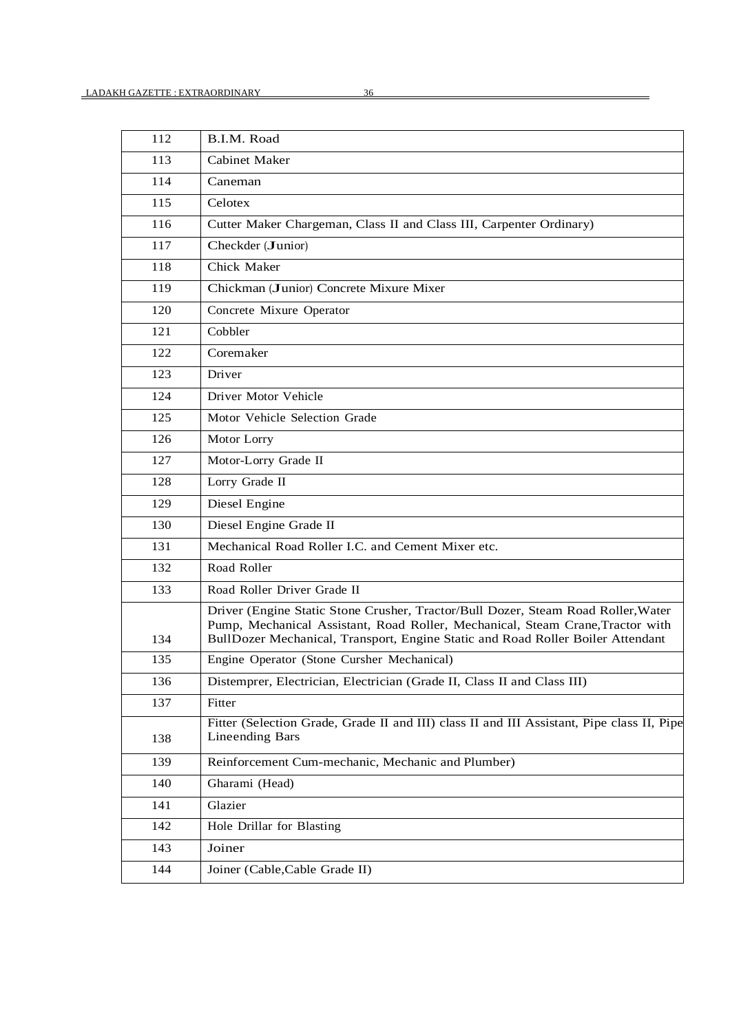| 112 | B.I.M. Road                                                                                                                                                                                                                                            |
|-----|--------------------------------------------------------------------------------------------------------------------------------------------------------------------------------------------------------------------------------------------------------|
| 113 | <b>Cabinet Maker</b>                                                                                                                                                                                                                                   |
| 114 | Caneman                                                                                                                                                                                                                                                |
| 115 | Celotex                                                                                                                                                                                                                                                |
| 116 | Cutter Maker Chargeman, Class II and Class III, Carpenter Ordinary)                                                                                                                                                                                    |
| 117 | Checkder (Junior)                                                                                                                                                                                                                                      |
| 118 | Chick Maker                                                                                                                                                                                                                                            |
| 119 | Chickman (Junior) Concrete Mixure Mixer                                                                                                                                                                                                                |
| 120 | Concrete Mixure Operator                                                                                                                                                                                                                               |
| 121 | Cobbler                                                                                                                                                                                                                                                |
| 122 | Coremaker                                                                                                                                                                                                                                              |
| 123 | Driver                                                                                                                                                                                                                                                 |
| 124 | Driver Motor Vehicle                                                                                                                                                                                                                                   |
| 125 | Motor Vehicle Selection Grade                                                                                                                                                                                                                          |
| 126 | Motor Lorry                                                                                                                                                                                                                                            |
| 127 | Motor-Lorry Grade II                                                                                                                                                                                                                                   |
| 128 | Lorry Grade II                                                                                                                                                                                                                                         |
| 129 | Diesel Engine                                                                                                                                                                                                                                          |
| 130 | Diesel Engine Grade II                                                                                                                                                                                                                                 |
| 131 | Mechanical Road Roller I.C. and Cement Mixer etc.                                                                                                                                                                                                      |
| 132 | Road Roller                                                                                                                                                                                                                                            |
| 133 | Road Roller Driver Grade II                                                                                                                                                                                                                            |
| 134 | Driver (Engine Static Stone Crusher, Tractor/Bull Dozer, Steam Road Roller, Water<br>Pump, Mechanical Assistant, Road Roller, Mechanical, Steam Crane, Tractor with<br>BullDozer Mechanical, Transport, Engine Static and Road Roller Boiler Attendant |
| 135 | Engine Operator (Stone Cursher Mechanical)                                                                                                                                                                                                             |
| 136 | Distemprer, Electrician, Electrician (Grade II, Class II and Class III)                                                                                                                                                                                |
| 137 | Fitter                                                                                                                                                                                                                                                 |
| 138 | Fitter (Selection Grade, Grade II and III) class II and III Assistant, Pipe class II, Pipe<br><b>Lineending Bars</b>                                                                                                                                   |
| 139 | Reinforcement Cum-mechanic, Mechanic and Plumber)                                                                                                                                                                                                      |
| 140 | Gharami (Head)                                                                                                                                                                                                                                         |
| 141 | Glazier                                                                                                                                                                                                                                                |
| 142 | Hole Drillar for Blasting                                                                                                                                                                                                                              |
| 143 | Joiner                                                                                                                                                                                                                                                 |
| 144 | Joiner (Cable, Cable Grade II)                                                                                                                                                                                                                         |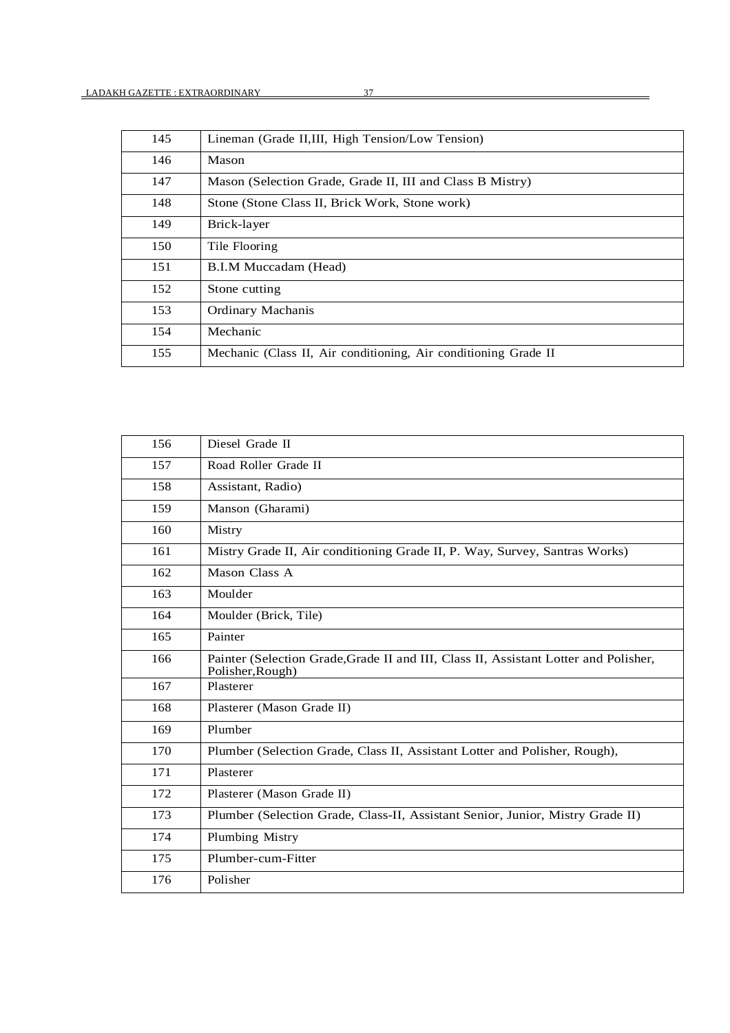| 145 | Lineman (Grade II,III, High Tension/Low Tension)                |
|-----|-----------------------------------------------------------------|
| 146 | Mason                                                           |
| 147 | Mason (Selection Grade, Grade II, III and Class B Mistry)       |
| 148 | Stone (Stone Class II, Brick Work, Stone work)                  |
| 149 | Brick-layer                                                     |
| 150 | Tile Flooring                                                   |
| 151 | B.I.M Muccadam (Head)                                           |
| 152 | Stone cutting                                                   |
| 153 | <b>Ordinary Machanis</b>                                        |
| 154 | Mechanic                                                        |
| 155 | Mechanic (Class II, Air conditioning, Air conditioning Grade II |
|     |                                                                 |

| 156 | Diesel Grade II                                                                                          |
|-----|----------------------------------------------------------------------------------------------------------|
| 157 | Road Roller Grade II                                                                                     |
| 158 | Assistant, Radio)                                                                                        |
| 159 | Manson (Gharami)                                                                                         |
| 160 | Mistry                                                                                                   |
| 161 | Mistry Grade II, Air conditioning Grade II, P. Way, Survey, Santras Works)                               |
| 162 | Mason Class A                                                                                            |
| 163 | Moulder                                                                                                  |
| 164 | Moulder (Brick, Tile)                                                                                    |
| 165 | Painter                                                                                                  |
| 166 | Painter (Selection Grade, Grade II and III, Class II, Assistant Lotter and Polisher,<br>Polisher, Rough) |
| 167 | Plasterer                                                                                                |
| 168 | Plasterer (Mason Grade II)                                                                               |
| 169 | Plumber                                                                                                  |
| 170 | Plumber (Selection Grade, Class II, Assistant Lotter and Polisher, Rough),                               |
| 171 | Plasterer                                                                                                |
| 172 | Plasterer (Mason Grade II)                                                                               |
| 173 | Plumber (Selection Grade, Class-II, Assistant Senior, Junior, Mistry Grade II)                           |
| 174 | Plumbing Mistry                                                                                          |
| 175 | Plumber-cum-Fitter                                                                                       |
| 176 | Polisher                                                                                                 |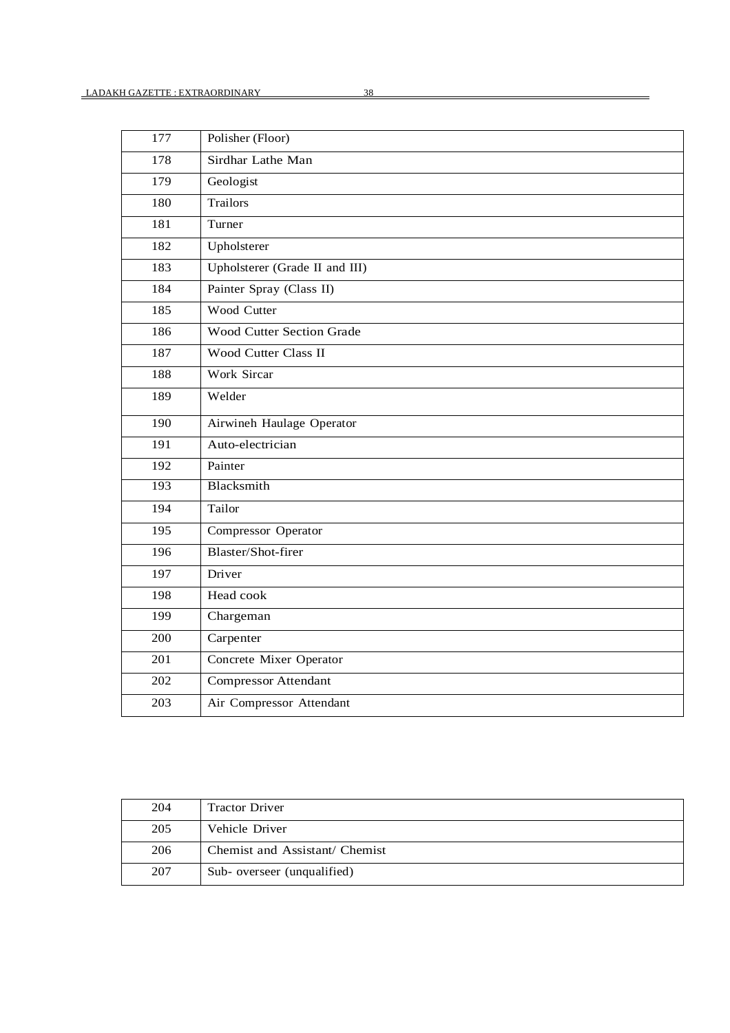| 177 | Polisher (Floor)               |
|-----|--------------------------------|
| 178 | Sirdhar Lathe Man              |
| 179 | Geologist                      |
| 180 | Trailors                       |
| 181 | Turner                         |
| 182 | Upholsterer                    |
| 183 | Upholsterer (Grade II and III) |
| 184 | Painter Spray (Class II)       |
| 185 | Wood Cutter                    |
| 186 | Wood Cutter Section Grade      |
| 187 | Wood Cutter Class II           |
| 188 | Work Sircar                    |
| 189 | Welder                         |
| 190 | Airwineh Haulage Operator      |
| 191 | Auto-electrician               |
| 192 | Painter                        |
| 193 | Blacksmith                     |
| 194 | Tailor                         |
| 195 | Compressor Operator            |
| 196 | Blaster/Shot-firer             |
| 197 | Driver                         |
| 198 | Head cook                      |
| 199 | Chargeman                      |
| 200 | Carpenter                      |
| 201 | Concrete Mixer Operator        |
| 202 | <b>Compressor Attendant</b>    |
| 203 | Air Compressor Attendant       |

| 204 | <b>Tractor Driver</b>          |
|-----|--------------------------------|
| 205 | Vehicle Driver                 |
| 206 | Chemist and Assistant/ Chemist |
| 207 | Sub-overseer (unqualified)     |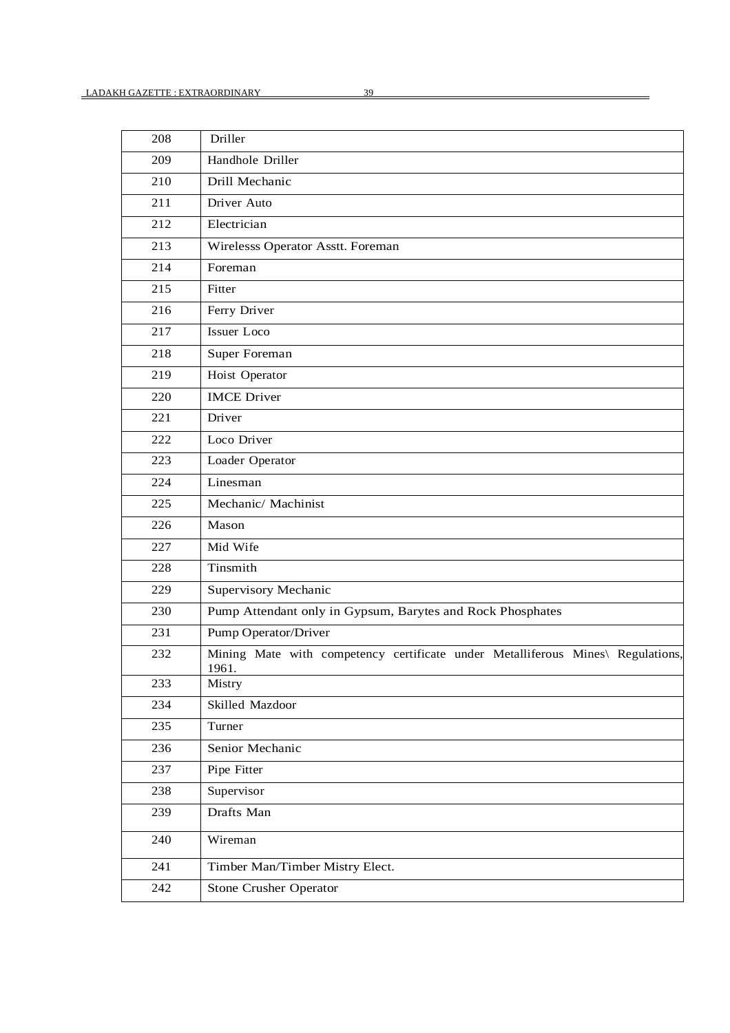| 208 | Driller                                                                                  |
|-----|------------------------------------------------------------------------------------------|
| 209 | Handhole Driller                                                                         |
| 210 | Drill Mechanic                                                                           |
| 211 | Driver Auto                                                                              |
| 212 | Electrician                                                                              |
| 213 | Wirelesss Operator Asstt. Foreman                                                        |
| 214 | Foreman                                                                                  |
| 215 | Fitter                                                                                   |
| 216 | Ferry Driver                                                                             |
| 217 | Issuer Loco                                                                              |
| 218 | Super Foreman                                                                            |
| 219 | Hoist Operator                                                                           |
| 220 | <b>IMCE</b> Driver                                                                       |
| 221 | Driver                                                                                   |
| 222 | Loco Driver                                                                              |
| 223 | Loader Operator                                                                          |
| 224 | Linesman                                                                                 |
| 225 | Mechanic/ Machinist                                                                      |
| 226 | Mason                                                                                    |
| 227 | Mid Wife                                                                                 |
| 228 | Tinsmith                                                                                 |
| 229 | Supervisory Mechanic                                                                     |
| 230 | Pump Attendant only in Gypsum, Barytes and Rock Phosphates                               |
| 231 | Pump Operator/Driver                                                                     |
| 232 | Mining Mate with competency certificate under Metalliferous Mines\ Regulations,<br>1961. |
| 233 | Mistry                                                                                   |
| 234 | Skilled Mazdoor                                                                          |
| 235 | Turner                                                                                   |
| 236 | Senior Mechanic                                                                          |
| 237 | Pipe Fitter                                                                              |
| 238 | Supervisor                                                                               |
| 239 | Drafts Man                                                                               |
| 240 | Wireman                                                                                  |
| 241 | Timber Man/Timber Mistry Elect.                                                          |
| 242 | Stone Crusher Operator                                                                   |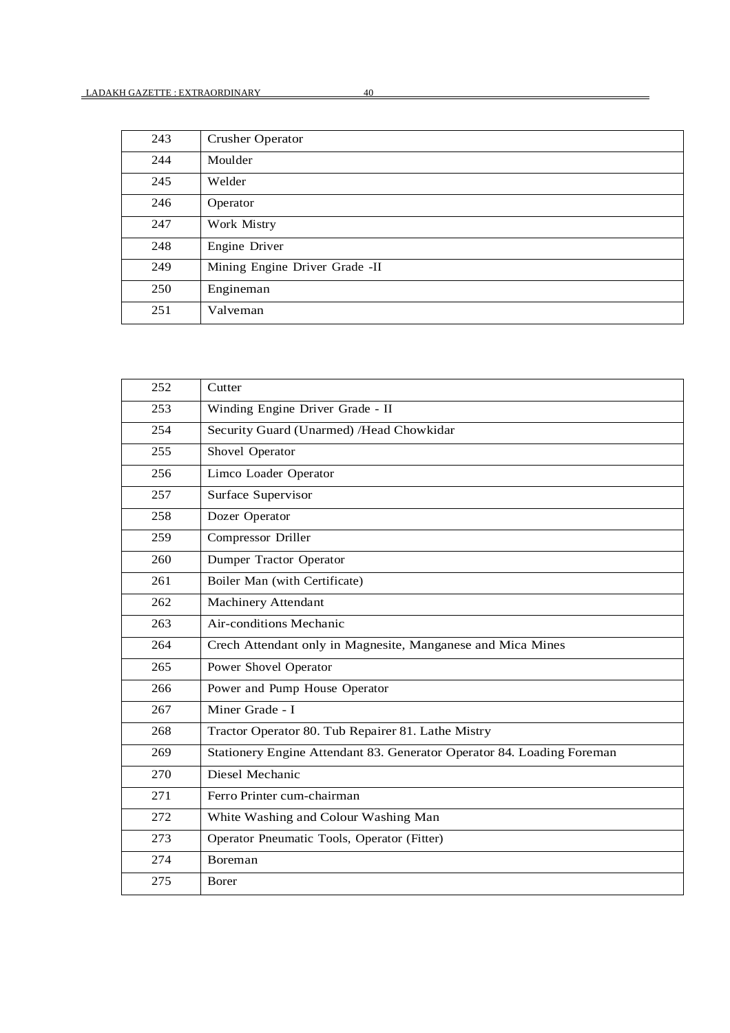| 243 | <b>Crusher Operator</b>        |
|-----|--------------------------------|
| 244 | Moulder                        |
| 245 | Welder                         |
| 246 | Operator                       |
| 247 | Work Mistry                    |
| 248 | Engine Driver                  |
| 249 | Mining Engine Driver Grade -II |
| 250 | Engineman                      |
| 251 | Valveman                       |

| 252 | Cutter                                                                 |
|-----|------------------------------------------------------------------------|
| 253 | Winding Engine Driver Grade - II                                       |
| 254 | Security Guard (Unarmed) / Head Chowkidar                              |
| 255 | Shovel Operator                                                        |
| 256 | Limco Loader Operator                                                  |
| 257 | Surface Supervisor                                                     |
| 258 | Dozer Operator                                                         |
| 259 | Compressor Driller                                                     |
| 260 | Dumper Tractor Operator                                                |
| 261 | Boiler Man (with Certificate)                                          |
| 262 | Machinery Attendant                                                    |
| 263 | Air-conditions Mechanic                                                |
| 264 | Crech Attendant only in Magnesite, Manganese and Mica Mines            |
| 265 | Power Shovel Operator                                                  |
| 266 | Power and Pump House Operator                                          |
| 267 | Miner Grade - I                                                        |
| 268 | Tractor Operator 80. Tub Repairer 81. Lathe Mistry                     |
| 269 | Stationery Engine Attendant 83. Generator Operator 84. Loading Foreman |
| 270 | Diesel Mechanic                                                        |
| 271 | Ferro Printer cum-chairman                                             |
| 272 | White Washing and Colour Washing Man                                   |
| 273 | Operator Pneumatic Tools, Operator (Fitter)                            |
| 274 | Boreman                                                                |
| 275 | Borer                                                                  |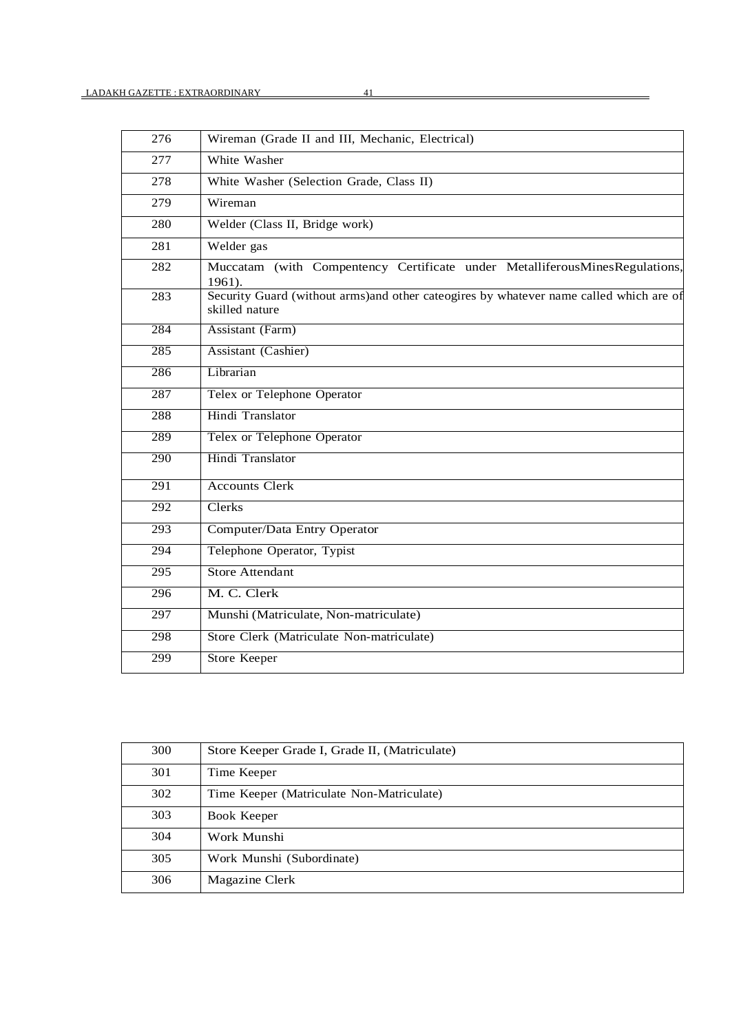| 276              | Wireman (Grade II and III, Mechanic, Electrical)                                                          |
|------------------|-----------------------------------------------------------------------------------------------------------|
| 277              | White Washer                                                                                              |
| 278              | White Washer (Selection Grade, Class II)                                                                  |
| 279              | Wireman                                                                                                   |
| 280              | Welder (Class II, Bridge work)                                                                            |
| 281              | Welder gas                                                                                                |
| 282              | Muccatam (with Compentency Certificate under MetalliferousMinesRegulations,<br>1961).                     |
| 283              | Security Guard (without arms) and other cateogires by whatever name called which are of<br>skilled nature |
| 284              | <b>Assistant (Farm)</b>                                                                                   |
| 285              | <b>Assistant (Cashier)</b>                                                                                |
| 286              | Librarian                                                                                                 |
| 287              | <b>Telex or Telephone Operator</b>                                                                        |
| 288              | Hindi Translator                                                                                          |
| 289              | Telex or Telephone Operator                                                                               |
| 290              | Hindi Translator                                                                                          |
| 291              | <b>Accounts Clerk</b>                                                                                     |
| 292              | Clerks                                                                                                    |
| 293              | Computer/Data Entry Operator                                                                              |
| 294              | Telephone Operator, Typist                                                                                |
| 295              | <b>Store Attendant</b>                                                                                    |
| 296              | M. C. Clerk                                                                                               |
| $\overline{297}$ | Munshi (Matriculate, Non-matriculate)                                                                     |
| 298              | Store Clerk (Matriculate Non-matriculate)                                                                 |
| 299              | <b>Store Keeper</b>                                                                                       |

| 300 | Store Keeper Grade I, Grade II, (Matriculate) |
|-----|-----------------------------------------------|
| 301 | Time Keeper                                   |
| 302 | Time Keeper (Matriculate Non-Matriculate)     |
| 303 | Book Keeper                                   |
| 304 | Work Munshi                                   |
| 305 | Work Munshi (Subordinate)                     |
| 306 | Magazine Clerk                                |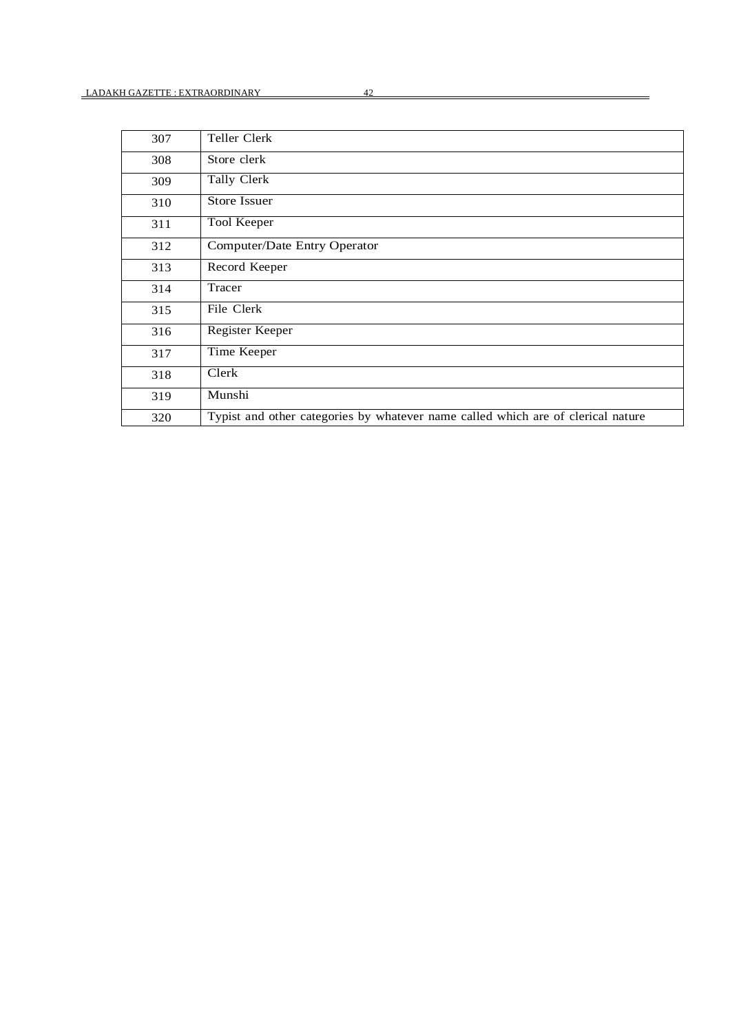| 307 | Teller Clerk                                                                     |
|-----|----------------------------------------------------------------------------------|
| 308 | Store clerk                                                                      |
| 309 | Tally Clerk                                                                      |
| 310 | Store Issuer                                                                     |
| 311 | Tool Keeper                                                                      |
| 312 | Computer/Date Entry Operator                                                     |
| 313 | Record Keeper                                                                    |
| 314 | Tracer                                                                           |
| 315 | File Clerk                                                                       |
| 316 | Register Keeper                                                                  |
| 317 | Time Keeper                                                                      |
| 318 | Clerk                                                                            |
| 319 | Munshi                                                                           |
| 320 | Typist and other categories by whatever name called which are of clerical nature |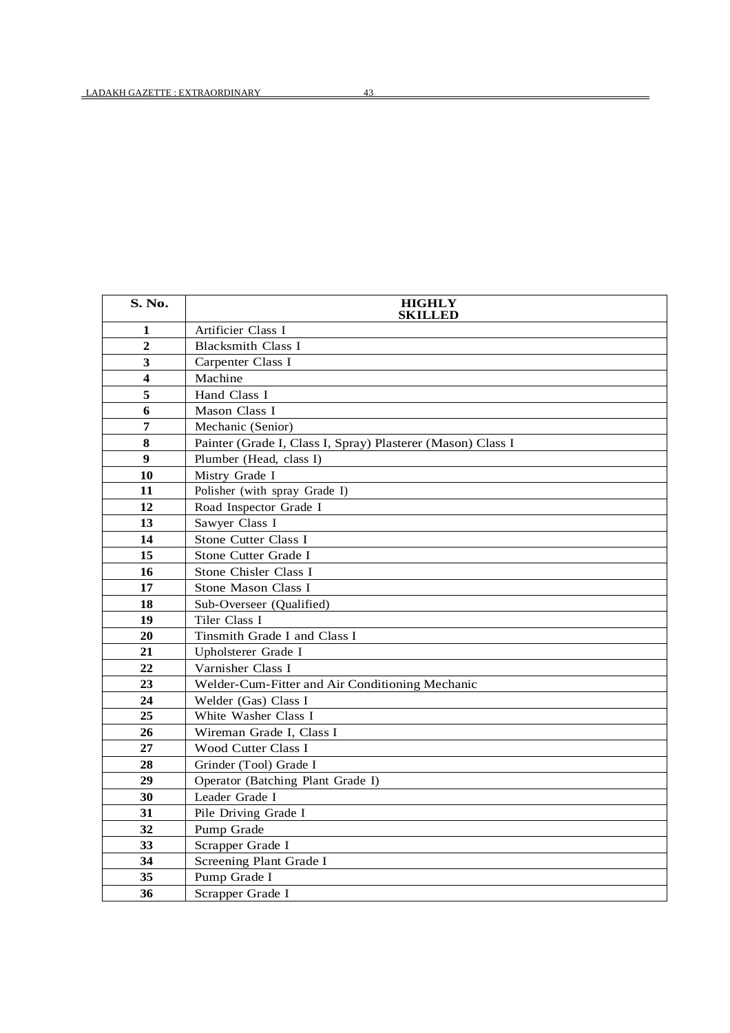| S. No.                  | <b>HIGHLY</b><br><b>SKILLED</b>                             |
|-------------------------|-------------------------------------------------------------|
| 1                       | Artificier Class I                                          |
| $\overline{2}$          | <b>Blacksmith Class I</b>                                   |
| $\overline{\mathbf{3}}$ | Carpenter Class I                                           |
| $\overline{\mathbf{4}}$ | Machine                                                     |
| 5                       | Hand Class I                                                |
| 6                       | Mason Class I                                               |
| $\overline{7}$          | Mechanic (Senior)                                           |
| 8                       | Painter (Grade I, Class I, Spray) Plasterer (Mason) Class I |
| $\boldsymbol{9}$        | Plumber (Head, class I)                                     |
| 10                      | Mistry Grade I                                              |
| 11                      | Polisher (with spray Grade I)                               |
| 12                      | Road Inspector Grade I                                      |
| 13                      | Sawyer Class I                                              |
| 14                      | Stone Cutter Class I                                        |
| 15                      | Stone Cutter Grade I                                        |
| 16                      | Stone Chisler Class I                                       |
| 17                      | Stone Mason Class I                                         |
| 18                      | Sub-Overseer (Qualified)                                    |
| 19                      | Tiler Class I                                               |
| 20                      | Tinsmith Grade I and Class I                                |
| 21                      | Upholsterer Grade I                                         |
| 22                      | Varnisher Class I                                           |
| 23                      | Welder-Cum-Fitter and Air Conditioning Mechanic             |
| 24                      | Welder (Gas) Class I                                        |
| 25                      | White Washer Class I                                        |
| 26                      | Wireman Grade I, Class I                                    |
| 27                      | <b>Wood Cutter Class I</b>                                  |
| 28                      | Grinder (Tool) Grade I                                      |
| 29                      | Operator (Batching Plant Grade I)                           |
| 30                      | Leader Grade I                                              |
| 31                      | Pile Driving Grade I                                        |
| 32                      | Pump Grade                                                  |
| 33                      | Scrapper Grade I                                            |
| 34                      | Screening Plant Grade I                                     |
| 35                      | Pump Grade I                                                |
| 36                      | Scrapper Grade I                                            |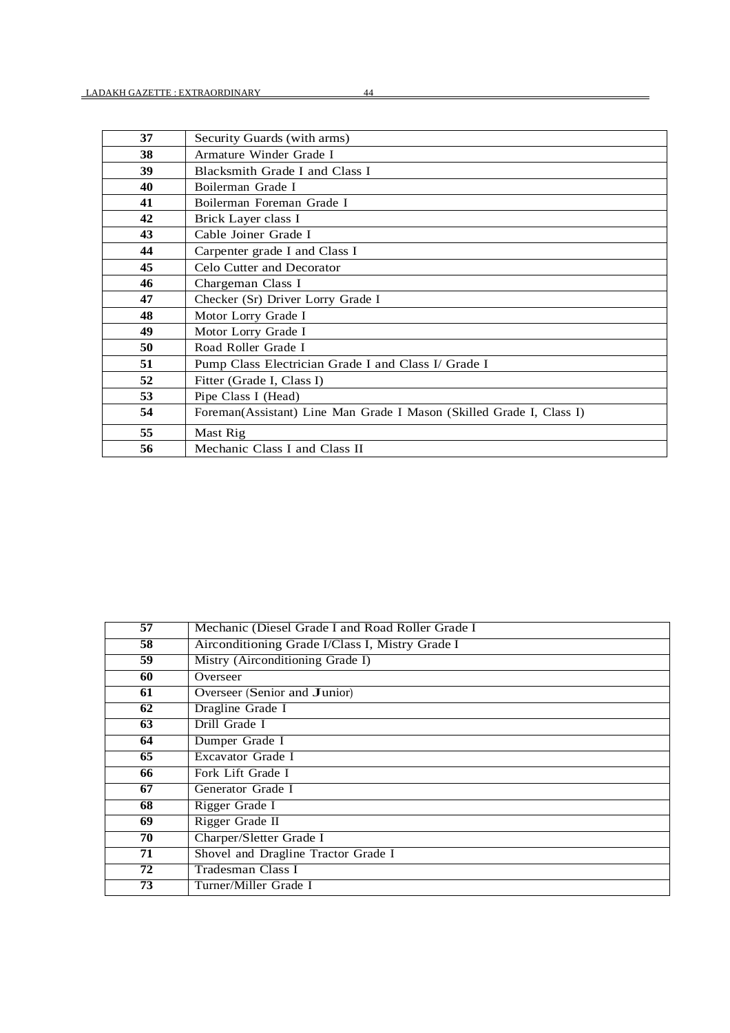| 37 | Security Guards (with arms)                                          |
|----|----------------------------------------------------------------------|
| 38 | Armature Winder Grade I                                              |
| 39 | Blacksmith Grade I and Class I                                       |
| 40 | Boilerman Grade I                                                    |
| 41 | Boilerman Foreman Grade I                                            |
| 42 | Brick Layer class I                                                  |
| 43 | Cable Joiner Grade I                                                 |
| 44 | Carpenter grade I and Class I                                        |
| 45 | Celo Cutter and Decorator                                            |
| 46 | Chargeman Class I                                                    |
| 47 | Checker (Sr) Driver Lorry Grade I                                    |
| 48 | Motor Lorry Grade I                                                  |
| 49 | Motor Lorry Grade I                                                  |
| 50 | Road Roller Grade I                                                  |
| 51 | Pump Class Electrician Grade I and Class I/ Grade I                  |
| 52 | Fitter (Grade I, Class I)                                            |
| 53 | Pipe Class I (Head)                                                  |
| 54 | Foreman(Assistant) Line Man Grade I Mason (Skilled Grade I, Class I) |
| 55 | Mast Rig                                                             |
| 56 | Mechanic Class I and Class II                                        |

| 57              | Mechanic (Diesel Grade I and Road Roller Grade I |
|-----------------|--------------------------------------------------|
| 58              | Airconditioning Grade I/Class I, Mistry Grade I  |
| $\overline{59}$ | Mistry (Airconditioning Grade I)                 |
| 60              | Overseer                                         |
| 61              | Overseer (Senior and Junior)                     |
| 62              | Dragline Grade I                                 |
| 63              | Drill Grade I                                    |
| 64              | Dumper Grade I                                   |
| 65              | Excavator Grade I                                |
| 66              | Fork Lift Grade I                                |
| 67              | Generator Grade I                                |
| 68              | Rigger Grade I                                   |
| 69              | Rigger Grade II                                  |
| 70              | Charper/Sletter Grade I                          |
| 71              | Shovel and Dragline Tractor Grade I              |
| 72              | Tradesman Class I                                |
| 73              | Turner/Miller Grade I                            |